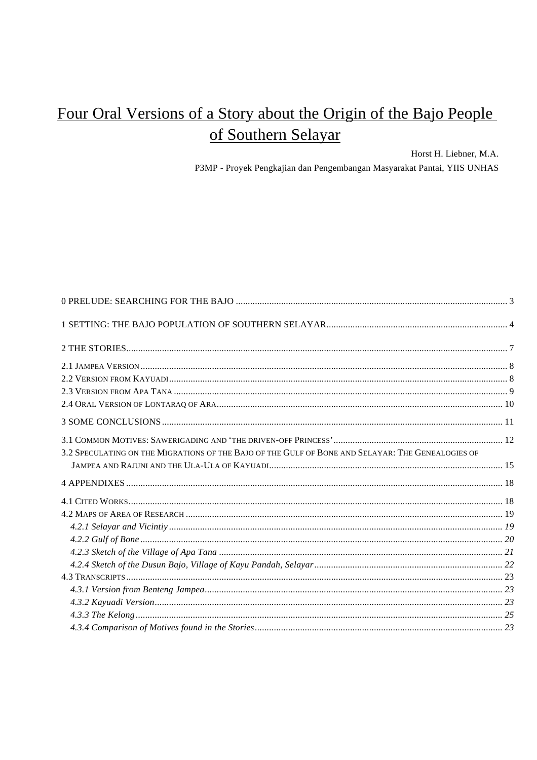# Four Oral Versions of a Story about the Origin of the Bajo People of Southern Selayar

Horst H. Liebner, M.A.

P3MP - Proyek Pengkajian dan Pengembangan Masyarakat Pantai, YIIS UNHAS

| 3.2 SPECULATING ON THE MIGRATIONS OF THE BAJO OF THE GULF OF BONE AND SELAYAR: THE GENEALOGIES OF |  |
|---------------------------------------------------------------------------------------------------|--|
|                                                                                                   |  |
|                                                                                                   |  |
|                                                                                                   |  |
|                                                                                                   |  |
|                                                                                                   |  |
|                                                                                                   |  |
|                                                                                                   |  |
|                                                                                                   |  |
|                                                                                                   |  |
|                                                                                                   |  |
|                                                                                                   |  |
|                                                                                                   |  |
|                                                                                                   |  |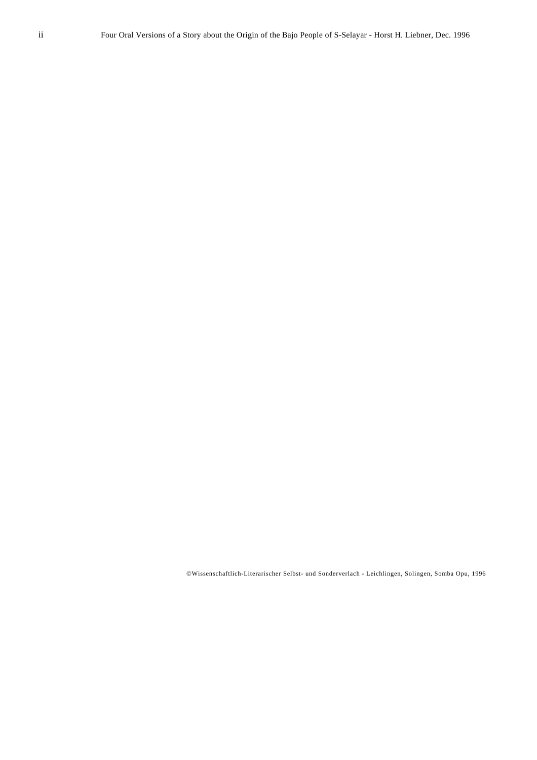©Wissenschaftlich-Literarischer Selbst- und Sonderverlach - Leichlingen, Solingen, Somba Opu, 1996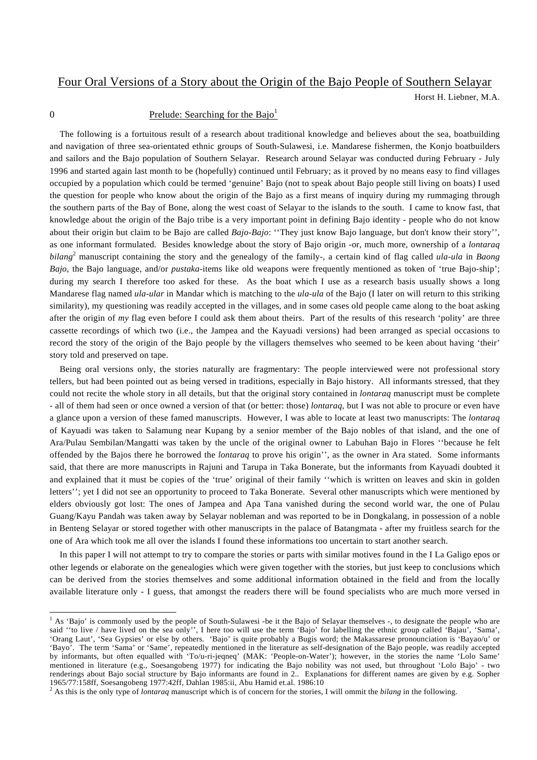# Four Oral Versions of a Story about the Origin of the Bajo People of Southern Selayar

Horst H. Liebner, M.A.

l

# 0 Prelude: Searching for the Bajo<sup>1</sup>

The following is a fortuitous result of a research about traditional knowledge and believes about the sea, boatbuilding and navigation of three sea-orientated ethnic groups of South-Sulawesi, i.e. Mandarese fishermen, the Konjo boatbuilders and sailors and the Bajo population of Southern Selayar. Research around Selayar was conducted during February - July 1996 and started again last month to be (hopefully) continued until February; as it proved by no means easy to find villages occupied by a population which could be termed 'genuine' Bajo (not to speak about Bajo people still living on boats) I used the question for people who know about the origin of the Bajo as a first means of inquiry during my rummaging through the southern parts of the Bay of Bone, along the west coast of Selayar to the islands to the south. I came to know fast, that knowledge about the origin of the Bajo tribe is a very important point in defining Bajo identity - people who do not know about their origin but claim to be Bajo are called *Bajo-Bajo*: ''They just know Bajo language, but don't know their story'', as one informant formulated. Besides knowledge about the story of Bajo origin -or, much more, ownership of a *lontaraq bilang*<sup>2</sup> manuscript containing the story and the genealogy of the family-, a certain kind of flag called *ula-ula* in *Baong Bajo*, the Bajo language, and/or *pustaka*-items like old weapons were frequently mentioned as token of 'true Bajo-ship'; during my search I therefore too asked for these. As the boat which I use as a research basis usually shows a long Mandarese flag named *ula-ular* in Mandar which is matching to the *ula-ula* of the Bajo (I later on will return to this striking similarity), my questioning was readily accepted in the villages, and in some cases old people came along to the boat asking after the origin of *my* flag even before I could ask them about theirs. Part of the results of this research 'polity' are three cassette recordings of which two (i.e., the Jampea and the Kayuadi versions) had been arranged as special occasions to record the story of the origin of the Bajo people by the villagers themselves who seemed to be keen about having 'their' story told and preserved on tape.

Being oral versions only, the stories naturally are fragmentary: The people interviewed were not professional story tellers, but had been pointed out as being versed in traditions, especially in Bajo history. All informants stressed, that they could not recite the whole story in all details, but that the original story contained in *lontaraq* manuscript must be complete - all of them had seen or once owned a version of that (or better: those) *lontaraq*, but I was not able to procure or even have a glance upon a version of these famed manuscripts. However, I was able to locate at least two manuscripts: The *lontaraq* of Kayuadi was taken to Salamung near Kupang by a senior member of the Bajo nobles of that island, and the one of Ara/Pulau Sembilan/Mangatti was taken by the uncle of the original owner to Labuhan Bajo in Flores ''because he felt offended by the Bajos there he borrowed the *lontaraq* to prove his origin'', as the owner in Ara stated. Some informants said, that there are more manuscripts in Rajuni and Tarupa in Taka Bonerate, but the informants from Kayuadi doubted it and explained that it must be copies of the 'true' original of their family ''which is written on leaves and skin in golden letters''; yet I did not see an opportunity to proceed to Taka Bonerate. Several other manuscripts which were mentioned by elders obviously got lost: The ones of Jampea and Apa Tana vanished during the second world war, the one of Pulau Guang/Kayu Pandah was taken away by Selayar nobleman and was reported to be in Dongkalang, in possession of a noble in Benteng Selayar or stored together with other manuscripts in the palace of Batangmata - after my fruitless search for the one of Ara which took me all over the islands I found these informations too uncertain to start another search.

In this paper I will not attempt to try to compare the stories or parts with similar motives found in the I La Galigo epos or other legends or elaborate on the genealogies which were given together with the stories, but just keep to conclusions which can be derived from the stories themselves and some additional information obtained in the field and from the locally available literature only - I guess, that amongst the readers there will be found specialists who are much more versed in

<sup>&</sup>lt;sup>1</sup> As 'Bajo' is commonly used by the people of South-Sulawesi -be it the Bajo of Selayar themselves -, to designate the people who are said "to live / have lived on the sea only", I here too will use the term 'Bajo' for labelling the ethnic group called 'Bajau', 'Sama', 'Orang Laut', 'Sea Gypsies' or else by others. 'Bajo' is quite probably a Bugis word; the Makassarese pronounciation is 'Bayao/u' or 'Bayo'. The term 'Sama' or 'Same', repeatedly mentioned in the literature as self-designation of the Bajo people, was readily accepted by informants, but often equalled with 'To/u-ri-jeqneq' (MAK: 'People-on-Water'); however, in the stories the name 'Lolo Same' mentioned in literature (e.g., Soesangobeng 1977) for indicating the Bajo nobility was not used, but throughout 'Lolo Bajo' - two renderings about Bajo social structure by Bajo informants are found in 2.. Explanations for different names are given by e.g. Sopher 1965/77:158ff, Soesangobeng 1977:42ff, Dahlan 1985:ii, Abu Hamid et.al. 1986:10 2

As this is the only type of *lontaraq* manuscript which is of concern for the stories, I will ommit the *bilang* in the following.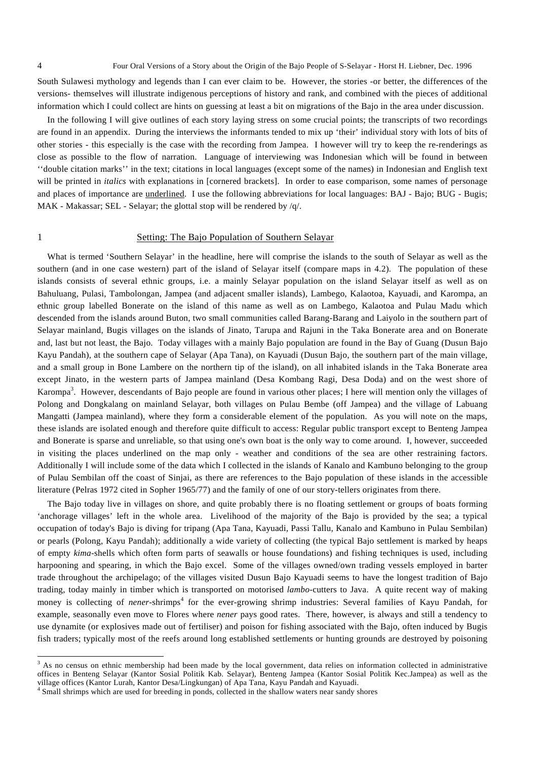South Sulawesi mythology and legends than I can ever claim to be. However, the stories -or better, the differences of the versions- themselves will illustrate indigenous perceptions of history and rank, and combined with the pieces of additional information which I could collect are hints on guessing at least a bit on migrations of the Bajo in the area under discussion.

In the following I will give outlines of each story laying stress on some crucial points; the transcripts of two recordings are found in an appendix. During the interviews the informants tended to mix up 'their' individual story with lots of bits of other stories - this especially is the case with the recording from Jampea. I however will try to keep the re-renderings as close as possible to the flow of narration. Language of interviewing was Indonesian which will be found in between ''double citation marks'' in the text; citations in local languages (except some of the names) in Indonesian and English text will be printed in *italics* with explanations in [cornered brackets]. In order to ease comparison, some names of personage and places of importance are underlined. I use the following abbreviations for local languages: BAJ - Bajo; BUG - Bugis; MAK - Makassar; SEL - Selayar; the glottal stop will be rendered by /q/.

l

# 1 Setting: The Bajo Population of Southern Selayar

What is termed 'Southern Selayar' in the headline, here will comprise the islands to the south of Selayar as well as the southern (and in one case western) part of the island of Selayar itself (compare maps in 4.2). The population of these islands consists of several ethnic groups, i.e. a mainly Selayar population on the island Selayar itself as well as on Bahuluang, Pulasi, Tambolongan, Jampea (and adjacent smaller islands), Lambego, Kalaotoa, Kayuadi, and Karompa, an ethnic group labelled Bonerate on the island of this name as well as on Lambego, Kalaotoa and Pulau Madu which descended from the islands around Buton, two small communities called Barang-Barang and Laiyolo in the southern part of Selayar mainland, Bugis villages on the islands of Jinato, Tarupa and Rajuni in the Taka Bonerate area and on Bonerate and, last but not least, the Bajo. Today villages with a mainly Bajo population are found in the Bay of Guang (Dusun Bajo Kayu Pandah), at the southern cape of Selayar (Apa Tana), on Kayuadi (Dusun Bajo, the southern part of the main village, and a small group in Bone Lambere on the northern tip of the island), on all inhabited islands in the Taka Bonerate area except Jinato, in the western parts of Jampea mainland (Desa Kombang Ragi, Desa Doda) and on the west shore of Karompa<sup>3</sup>. However, descendants of Bajo people are found in various other places; I here will mention only the villages of Polong and Dongkalang on mainland Selayar, both villages on Pulau Bembe (off Jampea) and the village of Labuang Mangatti (Jampea mainland), where they form a considerable element of the population. As you will note on the maps, these islands are isolated enough and therefore quite difficult to access: Regular public transport except to Benteng Jampea and Bonerate is sparse and unreliable, so that using one's own boat is the only way to come around. I, however, succeeded in visiting the places underlined on the map only - weather and conditions of the sea are other restraining factors. Additionally I will include some of the data which I collected in the islands of Kanalo and Kambuno belonging to the group of Pulau Sembilan off the coast of Sinjai, as there are references to the Bajo population of these islands in the accessible literature (Pelras 1972 cited in Sopher 1965/77) and the family of one of our story-tellers originates from there.

The Bajo today live in villages on shore, and quite probably there is no floating settlement or groups of boats forming 'anchorage villages' left in the whole area. Livelihood of the majority of the Bajo is provided by the sea; a typical occupation of today's Bajo is diving for tripang (Apa Tana, Kayuadi, Passi Tallu, Kanalo and Kambuno in Pulau Sembilan) or pearls (Polong, Kayu Pandah); additionally a wide variety of collecting (the typical Bajo settlement is marked by heaps of empty *kima*-shells which often form parts of seawalls or house foundations) and fishing techniques is used, including harpooning and spearing, in which the Bajo excel. Some of the villages owned/own trading vessels employed in barter trade throughout the archipelago; of the villages visited Dusun Bajo Kayuadi seems to have the longest tradition of Bajo trading, today mainly in timber which is transported on motorised *lambo*-cutters to Java. A quite recent way of making money is collecting of *nener*-shrimps<sup>4</sup> for the ever-growing shrimp industries: Several families of Kayu Pandah, for example, seasonally even move to Flores where *nener* pays good rates. There, however, is always and still a tendency to use dynamite (or explosives made out of fertiliser) and poison for fishing associated with the Bajo, often induced by Bugis fish traders; typically most of the reefs around long established settlements or hunting grounds are destroyed by poisoning

<sup>&</sup>lt;sup>3</sup> As no census on ethnic membership had been made by the local government, data relies on information collected in administrative offices in Benteng Selayar (Kantor Sosial Politik Kab. Selayar), Benteng Jampea (Kantor Sosial Politik Kec.Jampea) as well as the village offices (Kantor Lurah, Kantor Desa/Lingkungan) of Apa Tana, Kayu Pandah and Kayuadi.

<sup>4</sup> Small shrimps which are used for breeding in ponds, collected in the shallow waters near sandy shores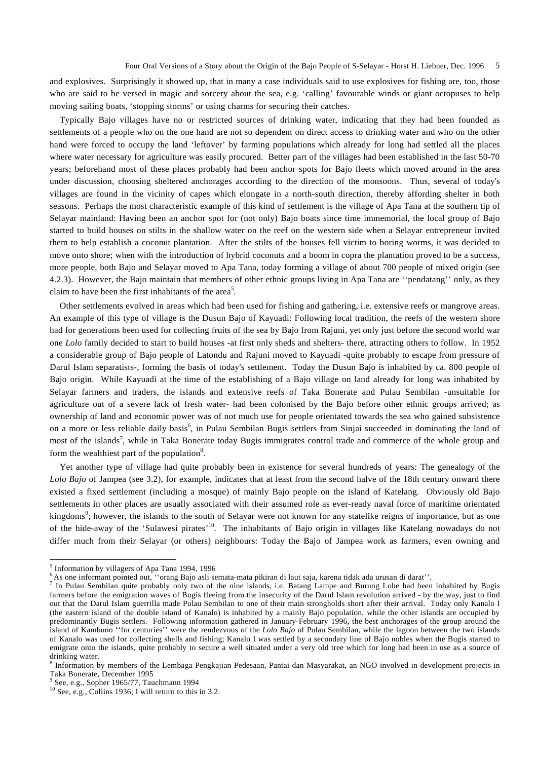and explosives. Surprisingly it showed up, that in many a case individuals said to use explosives for fishing are, too, those who are said to be versed in magic and sorcery about the sea, e.g. 'calling' favourable winds or giant octopuses to help moving sailing boats, 'stopping storms' or using charms for securing their catches.

Typically Bajo villages have no or restricted sources of drinking water, indicating that they had been founded as settlements of a people who on the one hand are not so dependent on direct access to drinking water and who on the other hand were forced to occupy the land 'leftover' by farming populations which already for long had settled all the places where water necessary for agriculture was easily procured. Better part of the villages had been established in the last 50-70 years; beforehand most of these places probably had been anchor spots for Bajo fleets which moved around in the area under discussion, choosing sheltered anchorages according to the direction of the monsoons. Thus, several of today's villages are found in the vicinity of capes which elongate in a north-south direction, thereby affording shelter in both seasons. Perhaps the most characteristic example of this kind of settlement is the village of Apa Tana at the southern tip of Selayar mainland: Having been an anchor spot for (not only) Bajo boats since time immemorial, the local group of Bajo started to build houses on stilts in the shallow water on the reef on the western side when a Selayar entrepreneur invited them to help establish a coconut plantation. After the stilts of the houses fell victim to boring worms, it was decided to move onto shore; when with the introduction of hybrid coconuts and a boom in copra the plantation proved to be a success, more people, both Bajo and Selayar moved to Apa Tana, today forming a village of about 700 people of mixed origin (see 4.2.3). However, the Bajo maintain that members of other ethnic groups living in Apa Tana are ''pendatang'' only, as they claim to have been the first inhabitants of the area<sup>5</sup>.

Other settlements evolved in areas which had been used for fishing and gathering, i.e. extensive reefs or mangrove areas. An example of this type of village is the Dusun Bajo of Kayuadi: Following local tradition, the reefs of the western shore had for generations been used for collecting fruits of the sea by Bajo from Rajuni, yet only just before the second world war one *Lolo* family decided to start to build houses -at first only sheds and shelters- there, attracting others to follow. In 1952 a considerable group of Bajo people of Latondu and Rajuni moved to Kayuadi -quite probably to escape from pressure of Darul Islam separatists-, forming the basis of today's settlement. Today the Dusun Bajo is inhabited by ca. 800 people of Bajo origin. While Kayuadi at the time of the establishing of a Bajo village on land already for long was inhabited by Selayar farmers and traders, the islands and extensive reefs of Taka Bonerate and Pulau Sembilan -unsuitable for agriculture out of a severe lack of fresh water- had been colonised by the Bajo before other ethnic groups arrived; as ownership of land and economic power was of not much use for people orientated towards the sea who gained subsistence on a more or less reliable daily basis<sup>6</sup>, in Pulau Sembilan Bugis settlers from Sinjai succeeded in dominating the land of most of the islands<sup>7</sup>, while in Taka Bonerate today Bugis immigrates control trade and commerce of the whole group and form the wealthiest part of the population<sup>8</sup>.

Yet another type of village had quite probably been in existence for several hundreds of years: The genealogy of the *Lolo Bajo* of Jampea (see 3.2), for example, indicates that at least from the second halve of the 18th century onward there existed a fixed settlement (including a mosque) of mainly Bajo people on the island of Katelang. Obviously old Bajo settlements in other places are usually associated with their assumed role as ever-ready naval force of maritime orientated kingdoms<sup>9</sup>; however, the islands to the south of Selayar were not known for any statelike reigns of importance, but as one of the hide-away of the 'Sulawesi pirates'10. The inhabitants of Bajo origin in villages like Katelang nowadays do not differ much from their Selayar (or others) neighbours: Today the Bajo of Jampea work as farmers, even owning and

<sup>&</sup>lt;sup>5</sup> Information by villagers of Apa Tana 1994, 1996

<sup>&</sup>lt;sup>6</sup> As one informant pointed out, "orang Bajo asli semata-mata pikiran di laut saja, karena tidak ada urusan di darat".

<sup>&</sup>lt;sup>7</sup> In Pulau Sembilan quite probably only two of the nine islands, i.e. Batang Lampe and Burung Lohe had been inhabited by Bugis farmers before the emigration waves of Bugis fleeing from the insecurity of the Darul Islam revolution arrived - by the way, just to find out that the Darul Islam guerrilla made Pulau Sembilan to one of their main strongholds short after their arrival. Today only Kanalo I (the eastern island of the double island of Kanalo) is inhabited by a mainly Bajo population, while the other islands are occupied by predominantly Bugis settlers. Following information gathered in January-February 1996, the best anchorages of the group around the island of Kambuno ''for centuries'' were the rendezvous of the *Lolo Bajo* of Pulau Sembilan, while the lagoon between the two islands of Kanalo was used for collecting shells and fishing; Kanalo I was settled by a secondary line of Bajo nobles when the Bugis started to emigrate onto the islands, quite probably to secure a well situated under a very old tree which for long had been in use as a source of drinking water.

<sup>&</sup>lt;sup>8</sup> Information by members of the Lembaga Pengkajian Pedesaan, Pantai dan Masyarakat, an NGO involved in development projects in Taka Bonerate, December 1995

 $9^9$  See, e.g., Sopher 1965/77, Tauchmann 1994

 $10$  See, e.g., Collins 1936; I will return to this in 3.2.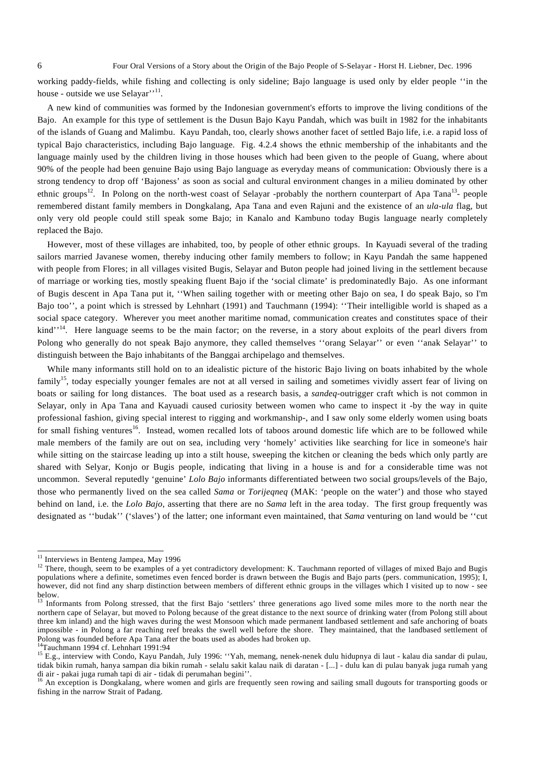working paddy-fields, while fishing and collecting is only sideline; Bajo language is used only by elder people ''in the house - outside we use Selayar'<sup>'11</sup>.

A new kind of communities was formed by the Indonesian government's efforts to improve the living conditions of the Bajo. An example for this type of settlement is the Dusun Bajo Kayu Pandah, which was built in 1982 for the inhabitants of the islands of Guang and Malimbu. Kayu Pandah, too, clearly shows another facet of settled Bajo life, i.e. a rapid loss of typical Bajo characteristics, including Bajo language. Fig. 4.2.4 shows the ethnic membership of the inhabitants and the language mainly used by the children living in those houses which had been given to the people of Guang, where about 90% of the people had been genuine Bajo using Bajo language as everyday means of communication: Obviously there is a strong tendency to drop off 'Bajoness' as soon as social and cultural environment changes in a milieu dominated by other ethnic groups<sup>12</sup>. In Polong on the north-west coast of Selayar -probably the northern counterpart of Apa Tana<sup>13</sup>- people remembered distant family members in Dongkalang, Apa Tana and even Rajuni and the existence of an *ula-ula* flag, but only very old people could still speak some Bajo; in Kanalo and Kambuno today Bugis language nearly completely replaced the Bajo.

However, most of these villages are inhabited, too, by people of other ethnic groups. In Kayuadi several of the trading sailors married Javanese women, thereby inducing other family members to follow; in Kayu Pandah the same happened with people from Flores; in all villages visited Bugis, Selayar and Buton people had joined living in the settlement because of marriage or working ties, mostly speaking fluent Bajo if the 'social climate' is predominatedly Bajo. As one informant of Bugis descent in Apa Tana put it, ''When sailing together with or meeting other Bajo on sea, I do speak Bajo, so I'm Bajo too'', a point which is stressed by Lehnhart (1991) and Tauchmann (1994): ''Their intelligible world is shaped as a social space category. Wherever you meet another maritime nomad, communication creates and constitutes space of their kind'<sup>14</sup>. Here language seems to be the main factor; on the reverse, in a story about exploits of the pearl divers from Polong who generally do not speak Bajo anymore, they called themselves ''orang Selayar'' or even ''anak Selayar'' to distinguish between the Bajo inhabitants of the Banggai archipelago and themselves.

While many informants still hold on to an idealistic picture of the historic Bajo living on boats inhabited by the whole family<sup>15</sup>, today especially younger females are not at all versed in sailing and sometimes vividly assert fear of living on boats or sailing for long distances. The boat used as a research basis, a *sandeq*-outrigger craft which is not common in Selayar, only in Apa Tana and Kayuadi caused curiosity between women who came to inspect it -by the way in quite professional fashion, giving special interest to rigging and workmanship-, and I saw only some elderly women using boats for small fishing ventures<sup>16</sup>. Instead, women recalled lots of taboos around domestic life which are to be followed while male members of the family are out on sea, including very 'homely' activities like searching for lice in someone's hair while sitting on the staircase leading up into a stilt house, sweeping the kitchen or cleaning the beds which only partly are shared with Selyar, Konjo or Bugis people, indicating that living in a house is and for a considerable time was not uncommon. Several reputedly 'genuine' *Lolo Bajo* informants differentiated between two social groups/levels of the Bajo, those who permanently lived on the sea called *Sama* or *Torijeqneq* (MAK: 'people on the water') and those who stayed behind on land, i.e. the *Lolo Bajo*, asserting that there are no *Sama* left in the area today. The first group frequently was designated as ''budak'' ('slaves') of the latter; one informant even maintained, that *Sama* venturing on land would be ''cut

 $11$  Interviews in Benteng Jampea, May 1996

 $12$  There, though, seem to be examples of a yet contradictory development: K. Tauchmann reported of villages of mixed Bajo and Bugis populations where a definite, sometimes even fenced border is drawn between the Bugis and Bajo parts (pers. communication, 1995); I, however, did not find any sharp distinction between members of different ethnic groups in the villages which I visited up to now - see below.

<sup>13</sup> Informants from Polong stressed, that the first Bajo 'settlers' three generations ago lived some miles more to the north near the northern cape of Selayar, but moved to Polong because of the great distance to the next source of drinking water (from Polong still about three km inland) and the high waves during the west Monsoon which made permanent landbased settlement and safe anchoring of boats impossible - in Polong a far reaching reef breaks the swell well before the shore. They maintained, that the landbased settlement of Polong was founded before Apa Tana after the boats used as abodes had broken up.

<sup>&</sup>lt;sup>14</sup>Tauchmann 1994 cf. Lehnhart 1991:94

<sup>&</sup>lt;sup>15</sup> E.g., interview with Condo, Kayu Pandah, July 1996: "Yah, memang, nenek-nenek dulu hidupnya di laut - kalau dia sandar di pulau, tidak bikin rumah, hanya sampan dia bikin rumah - selalu sakit kalau naik di daratan - [...] - dulu kan di pulau banyak juga rumah yang di air - pakai juga rumah tapi di air - tidak di perumahan begini''.<br><sup>16</sup> An exception is Dongkalang, where women and girls are frequently seen rowing and sailing small dugouts for transporting goods or

fishing in the narrow Strait of Padang.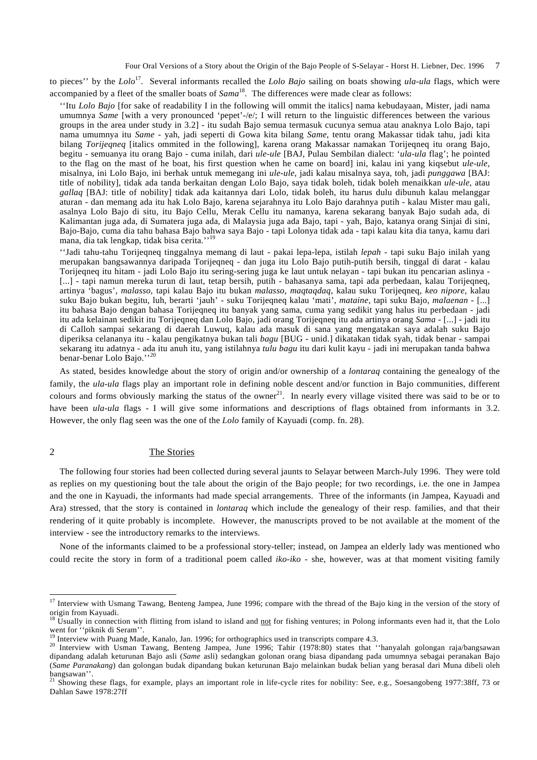to pieces'' by the *Lolo*17. Several informants recalled the *Lolo Bajo* sailing on boats showing *ula-ula* flags, which were accompanied by a fleet of the smaller boats of *Sama*18.The differences were made clear as follows:

''Itu *Lolo Bajo* [for sake of readability I in the following will ommit the italics] nama kebudayaan, Mister, jadi nama umumnya *Same* [with a very pronounced 'pepet'-/e/; I will return to the linguistic differences between the various groups in the area under study in 3.2] - itu sudah Bajo semua termasuk cucunya semua atau anaknya Lolo Bajo, tapi nama umumnya itu *Same* - yah, jadi seperti di Gowa kita bilang *Same*, tentu orang Makassar tidak tahu, jadi kita bilang *Torijeqneq* [italics ommited in the following], karena orang Makassar namakan Torijeqneq itu orang Bajo, begitu - semuanya itu orang Bajo - cuma inilah, dari *ule-ule* [BAJ, Pulau Sembilan dialect: '*ula-ula* flag'; he pointed to the flag on the mast of he boat, his first question when he came on board] ini, kalau ini yang kiqsebut *ule-ule*, misalnya, ini Lolo Bajo, ini berhak untuk memegang ini *ule-ule*, jadi kalau misalnya saya, toh, jadi *punggawa* [BAJ: title of nobility], tidak ada tanda berkaitan dengan Lolo Bajo, saya tidak boleh, tidak boleh menaikkan *ule-ule*, atau *gallaq* [BAJ: title of nobility] tidak ada kaitannya dari Lolo, tidak boleh, itu harus dulu dibunuh kalau melanggar aturan - dan memang ada itu hak Lolo Bajo, karena sejarahnya itu Lolo Bajo darahnya putih - kalau Mister mau gali, asalnya Lolo Bajo di situ, itu Bajo Cellu, Merak Cellu itu namanya, karena sekarang banyak Bajo sudah ada, di Kalimantan juga ada, di Sumatera juga ada, di Malaysia juga ada Bajo, tapi - yah, Bajo, katanya orang Sinjai di sini, Bajo-Bajo, cuma dia tahu bahasa Bajo bahwa saya Bajo - tapi Lolonya tidak ada - tapi kalau kita dia tanya, kamu dari mana, dia tak lengkap, tidak bisa cerita.''

''Jadi tahu-tahu Torijeqneq tinggalnya memang di laut - pakai lepa-lepa, istilah *lepah* - tapi suku Bajo inilah yang merupakan bangsawannya daripada Torijeqneq - dan juga itu Lolo Bajo putih-putih bersih, tinggal di darat - kalau Torijeqneq itu hitam - jadi Lolo Bajo itu sering-sering juga ke laut untuk nelayan - tapi bukan itu pencarian aslinya - [...] - tapi namun mereka turun di laut, tetap bersih, putih - bahasanya sama, tapi ada perbedaan, kalau Torijeqneq, artinya 'bagus', *malasso*, tapi kalau Bajo itu bukan *malasso*, *maqtaqdaq*, kalau suku Torijeqneq, *keo nipore*, kalau suku Bajo bukan begitu, luh, berarti 'jauh' - suku Torijeqneq kalau 'mati', *mataine*, tapi suku Bajo, *malaenan* - [...] itu bahasa Bajo dengan bahasa Torijeqneq itu banyak yang sama, cuma yang sedikit yang halus itu perbedaan - jadi itu ada kelainan sedikit itu Torijeqneq dan Lolo Bajo, jadi orang Torijeqneq itu ada artinya orang *Sama* - [...] - jadi itu di Calloh sampai sekarang di daerah Luwuq, kalau ada masuk di sana yang mengatakan saya adalah suku Bajo diperiksa celananya itu - kalau pengikatnya bukan tali *bagu* [BUG - unid.] dikatakan tidak syah, tidak benar - sampai sekarang itu adatnya - ada itu anuh itu, yang istilahnya *tulu bagu* itu dari kulit kayu - jadi ini merupakan tanda bahwa benar-benar Lolo Bajo."<sup>20</sup>

As stated, besides knowledge about the story of origin and/or ownership of a *lontaraq* containing the genealogy of the family, the *ula-ula* flags play an important role in defining noble descent and/or function in Bajo communities, different colours and forms obviously marking the status of the owner<sup>21</sup>. In nearly every village visited there was said to be or to have been *ula-ula* flags - I will give some informations and descriptions of flags obtained from informants in 3.2. However, the only flag seen was the one of the *Lolo* family of Kayuadi (comp. fn. 28).

# 2 The Stories

l

The following four stories had been collected during several jaunts to Selayar between March-July 1996. They were told as replies on my questioning bout the tale about the origin of the Bajo people; for two recordings, i.e. the one in Jampea and the one in Kayuadi, the informants had made special arrangements. Three of the informants (in Jampea, Kayuadi and Ara) stressed, that the story is contained in *lontaraq* which include the genealogy of their resp. families, and that their rendering of it quite probably is incomplete. However, the manuscripts proved to be not available at the moment of the interview - see the introductory remarks to the interviews.

None of the informants claimed to be a professional story-teller; instead, on Jampea an elderly lady was mentioned who could recite the story in form of a traditional poem called *iko-iko* - she, however, was at that moment visiting family

<sup>&</sup>lt;sup>17</sup> Interview with Usmang Tawang, Benteng Jampea, June 1996; compare with the thread of the Bajo king in the version of the story of origin from Kayuadi.

<sup>&</sup>lt;sup>18</sup> Usually in connection with flitting from island to island and not for fishing ventures; in Polong informants even had it, that the Lolo went for "piknik di Seram".<br><sup>19</sup> Interview with Puang Made. Kanalo. Jan. 1996: for orthographics used in transcripts compare 4.3.

<sup>&</sup>lt;sup>20</sup> Interview with Usman Tawang, Benteng Jampea, June 1996; Tahir (1978:80) states that ''hanyalah golongan raja/bangsawan dipandang adalah keturunan Bajo asli (*Same* asli) sedangkan golonan orang biasa dipandang pada umumnya sebagai peranakan Bajo (*Same Paranakang*) dan golongan budak dipandang bukan keturunan Bajo melainkan budak belian yang berasal dari Muna dibeli oleh bangsawan''.

<sup>&</sup>lt;sup>21</sup> Showing these flags, for example, plays an important role in life-cycle rites for nobility: See, e.g., Soesangobeng 1977:38ff, 73 or Dahlan Sawe 1978:27ff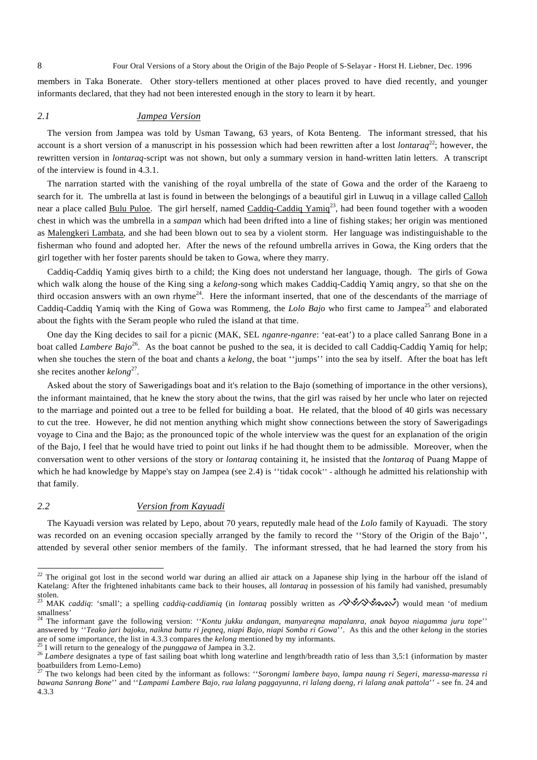members in Taka Bonerate. Other story-tellers mentioned at other places proved to have died recently, and younger informants declared, that they had not been interested enough in the story to learn it by heart.

## *2.1 Jampea Version*

The version from Jampea was told by Usman Tawang, 63 years, of Kota Benteng. The informant stressed, that his account is a short version of a manuscript in his possession which had been rewritten after a lost *lontaraq*<sup>22</sup>; however, the rewritten version in *lontaraq*-script was not shown, but only a summary version in hand-written latin letters. A transcript of the interview is found in 4.3.1.

The narration started with the vanishing of the royal umbrella of the state of Gowa and the order of the Karaeng to search for it. The umbrella at last is found in between the belongings of a beautiful girl in Luwuq in a village called Calloh near a place called Bulu Puloe. The girl herself, named Caddiq-Caddiq Yamiq<sup>23</sup>, had been found together with a wooden chest in which was the umbrella in a *sampan* which had been drifted into a line of fishing stakes; her origin was mentioned as Malengkeri Lambata, and she had been blown out to sea by a violent storm. Her language was indistinguishable to the fisherman who found and adopted her. After the news of the refound umbrella arrives in Gowa, the King orders that the girl together with her foster parents should be taken to Gowa, where they marry.

Caddiq-Caddiq Yamiq gives birth to a child; the King does not understand her language, though. The girls of Gowa which walk along the house of the King sing a *kelong*-song which makes Caddiq-Caddiq Yamiq angry, so that she on the third occasion answers with an own rhyme<sup>24</sup>. Here the informant inserted, that one of the descendants of the marriage of Caddiq-Caddiq Yamiq with the King of Gowa was Rommeng, the *Lolo Bajo* who first came to Jampea<sup>25</sup> and elaborated about the fights with the Seram people who ruled the island at that time.

One day the King decides to sail for a picnic (MAK, SEL *nganre-nganre*: 'eat-eat') to a place called Sanrang Bone in a boat called *Lambere Bajo*<sup>26</sup>. As the boat cannot be pushed to the sea, it is decided to call Caddiq-Caddiq Yamiq for help; when she touches the stern of the boat and chants a *kelong*, the boat ''jumps'' into the sea by itself. After the boat has left she recites another *kelong*27.

Asked about the story of Sawerigadings boat and it's relation to the Bajo (something of importance in the other versions), the informant maintained, that he knew the story about the twins, that the girl was raised by her uncle who later on rejected to the marriage and pointed out a tree to be felled for building a boat. He related, that the blood of 40 girls was necessary to cut the tree. However, he did not mention anything which might show connections between the story of Sawerigadings voyage to Cina and the Bajo; as the pronounced topic of the whole interview was the quest for an explanation of the origin of the Bajo, I feel that he would have tried to point out links if he had thought them to be admissible. Moreover, when the conversation went to other versions of the story or *lontaraq* containing it, he insisted that the *lontaraq* of Puang Mappe of which he had knowledge by Mappe's stay on Jampea (see 2.4) is "tidak cocok" - although he admitted his relationship with that family.

#### *2.2 Version from Kayuadi*

The Kayuadi version was related by Lepo, about 70 years, reputedly male head of the *Lolo* family of Kayuadi. The story was recorded on an evening occasion specially arranged by the family to record the ''Story of the Origin of the Bajo'', attended by several other senior members of the family. The informant stressed, that he had learned the story from his

 $^{22}$  The original got lost in the second world war during an allied air attack on a Japanese ship lying in the harbour off the island of Katelang: After the frightened inhabitants came back to their houses, all *lontaraq* in possession of his family had vanished, presumably stolen.<br> $23 \sqrt{14}$ 

<sup>23</sup> MAK *caddiq*: 'small'; a spelling *caddiq-caddiamiq* (in *lontaraq* possibly written as ) would mean 'of medium smallness'

<sup>24</sup> The informant gave the following version: ''*Kontu jukku andangan, manyareqna mapalanra, anak bayoa niagamma juru tope*'' answered by ''*Teako jari bajoku, naikna battu ri jeqneq, niapi Bajo, niapi Somba ri Gowa*''. As this and the other *kelong* in the stories

<sup>&</sup>lt;sup>25</sup> I will return to the genealogy of the *punggawa* of Jampea in 3.2.<br><sup>26</sup> Lambere designates a type of fast sailing boat whith long waterline and length/breadth ratio of less than 3,5:1 (information by master boatbuilders from Lemo-Lemo)<br> $^{27}$  The two boat boats and the set of the set of the set of the set of the set of the set of the set of the set of the set of the set of the set of the set of the set of the set of the set

<sup>27</sup> The two kelongs had been cited by the informant as follows: ''*Sorongmi lambere bayo, lampa naung ri Segeri, maressa-maressa ri bawana Sanrang Bone*'' and ''*Lampami Lambere Bajo, rua lalang paggayunna, ri lalang daeng, ri lalang anak pattola*'' - see fn. 24 and 4.3.3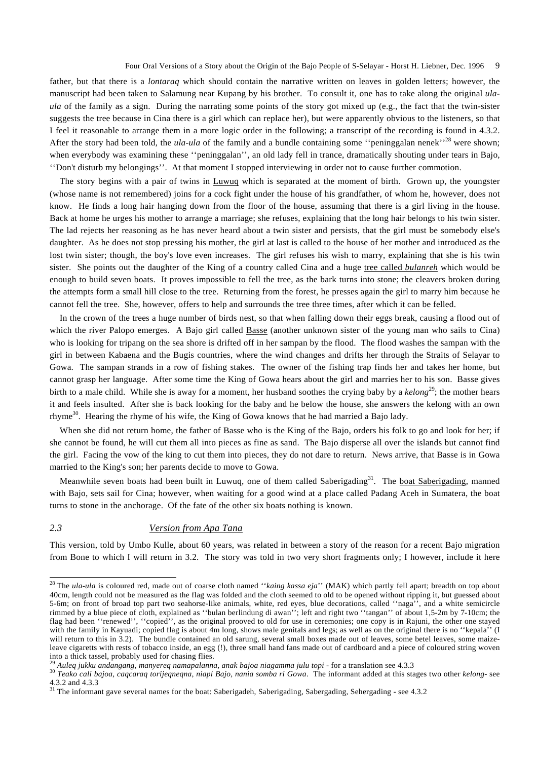father, but that there is a *lontaraq* which should contain the narrative written on leaves in golden letters; however, the manuscript had been taken to Salamung near Kupang by his brother. To consult it, one has to take along the original *ulaula* of the family as a sign. During the narrating some points of the story got mixed up (e.g., the fact that the twin-sister suggests the tree because in Cina there is a girl which can replace her), but were apparently obvious to the listeners, so that I feel it reasonable to arrange them in a more logic order in the following; a transcript of the recording is found in 4.3.2. After the story had been told, the *ula-ula* of the family and a bundle containing some "peninggalan nenek"<sup>28</sup> were shown; when everybody was examining these ''peninggalan'', an old lady fell in trance, dramatically shouting under tears in Bajo, ''Don't disturb my belongings''. At that moment I stopped interviewing in order not to cause further commotion.

The story begins with a pair of twins in Luwuq which is separated at the moment of birth. Grown up, the youngster (whose name is not remembered) joins for a cock fight under the house of his grandfather, of whom he, however, does not know. He finds a long hair hanging down from the floor of the house, assuming that there is a girl living in the house. Back at home he urges his mother to arrange a marriage; she refuses, explaining that the long hair belongs to his twin sister. The lad rejects her reasoning as he has never heard about a twin sister and persists, that the girl must be somebody else's daughter. As he does not stop pressing his mother, the girl at last is called to the house of her mother and introduced as the lost twin sister; though, the boy's love even increases. The girl refuses his wish to marry, explaining that she is his twin sister. She points out the daughter of the King of a country called Cina and a huge tree called *bulanreh* which would be enough to build seven boats. It proves impossible to fell the tree, as the bark turns into stone; the cleavers broken during the attempts form a small hill close to the tree. Returning from the forest, he presses again the girl to marry him because he cannot fell the tree. She, however, offers to help and surrounds the tree three times, after which it can be felled.

In the crown of the trees a huge number of birds nest, so that when falling down their eggs break, causing a flood out of which the river Palopo emerges. A Bajo girl called Basse (another unknown sister of the young man who sails to Cina) who is looking for tripang on the sea shore is drifted off in her sampan by the flood. The flood washes the sampan with the girl in between Kabaena and the Bugis countries, where the wind changes and drifts her through the Straits of Selayar to Gowa. The sampan strands in a row of fishing stakes. The owner of the fishing trap finds her and takes her home, but cannot grasp her language. After some time the King of Gowa hears about the girl and marries her to his son. Basse gives birth to a male child. While she is away for a moment, her husband soothes the crying baby by a *kelong*<sup>29</sup>; the mother hears it and feels insulted. After she is back looking for the baby and he below the house, she answers the kelong with an own rhyme<sup>30</sup>. Hearing the rhyme of his wife, the King of Gowa knows that he had married a Bajo lady.

When she did not return home, the father of Basse who is the King of the Bajo, orders his folk to go and look for her; if she cannot be found, he will cut them all into pieces as fine as sand. The Bajo disperse all over the islands but cannot find the girl. Facing the vow of the king to cut them into pieces, they do not dare to return. News arrive, that Basse is in Gowa married to the King's son; her parents decide to move to Gowa.

Meanwhile seven boats had been built in Luwuq, one of them called Saberigading<sup>31</sup>. The boat Saberigading, manned with Bajo, sets sail for Cina; however, when waiting for a good wind at a place called Padang Aceh in Sumatera, the boat turns to stone in the anchorage. Of the fate of the other six boats nothing is known.

### *2.3 Version from Apa Tana*

l

This version, told by Umbo Kulle, about 60 years, was related in between a story of the reason for a recent Bajo migration from Bone to which I will return in 3.2. The story was told in two very short fragments only; I however, include it here

<sup>28</sup> The *ula-ula* is coloured red, made out of coarse cloth named ''*kaing kassa eja*'' (MAK) which partly fell apart; breadth on top about 40cm, length could not be measured as the flag was folded and the cloth seemed to old to be opened without ripping it, but guessed about 5-6m; on front of broad top part two seahorse-like animals, white, red eyes, blue decorations, called ''naga'', and a white semicircle rimmed by a blue piece of cloth, explained as ''bulan berlindung di awan''; left and right two ''tangan'' of about 1,5-2m by 7-10cm; the flag had been "renewed", "copied", as the original prooved to old for use in ceremonies; one copy is in Rajuni, the other one stayed with the family in Kayuadi; copied flag is about 4m long, shows male genitals and legs; as well as on the original there is no "kepala" (I will return to this in 3.2). The bundle contained an old sarung, several small boxes made out of leaves, some betel leaves, some maizeleave cigaretts with rests of tobacco inside, an egg (!), three small hand fans made out of cardboard and a piece of coloured string woven into a thick tassel, probably used for chasing flies.<br><sup>29</sup> Auleg jukku andangang, manyereg namapalanna, anak bajoa niagamma julu topi - for a translation see 4.3.3

<sup>&</sup>lt;sup>30</sup> Teako cali bajoa, caqcaraq torijeqneqna, niapi Bajo, nania somba ri Gowa. The informant added at this stages two other kelong- see 4.3.2 and 4.3.3

 $31$  The informant gave several names for the boat: Saberigadeh, Saberigading, Sabergading, Sehergading - see 4.3.2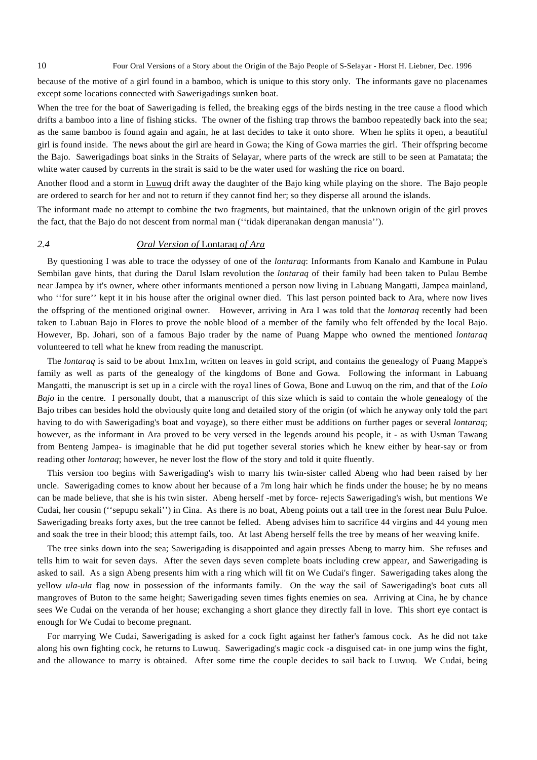because of the motive of a girl found in a bamboo, which is unique to this story only. The informants gave no placenames except some locations connected with Sawerigadings sunken boat.

When the tree for the boat of Sawerigading is felled, the breaking eggs of the birds nesting in the tree cause a flood which drifts a bamboo into a line of fishing sticks. The owner of the fishing trap throws the bamboo repeatedly back into the sea; as the same bamboo is found again and again, he at last decides to take it onto shore. When he splits it open, a beautiful girl is found inside. The news about the girl are heard in Gowa; the King of Gowa marries the girl. Their offspring become the Bajo. Sawerigadings boat sinks in the Straits of Selayar, where parts of the wreck are still to be seen at Pamatata; the white water caused by currents in the strait is said to be the water used for washing the rice on board.

Another flood and a storm in Luwuq drift away the daughter of the Bajo king while playing on the shore. The Bajo people are ordered to search for her and not to return if they cannot find her; so they disperse all around the islands.

The informant made no attempt to combine the two fragments, but maintained, that the unknown origin of the girl proves the fact, that the Bajo do not descent from normal man (''tidak diperanakan dengan manusia'').

# *2.4 Oral Version of* Lontaraq *of Ara*

By questioning I was able to trace the odyssey of one of the *lontaraq*: Informants from Kanalo and Kambune in Pulau Sembilan gave hints, that during the Darul Islam revolution the *lontaraq* of their family had been taken to Pulau Bembe near Jampea by it's owner, where other informants mentioned a person now living in Labuang Mangatti, Jampea mainland, who "for sure" kept it in his house after the original owner died. This last person pointed back to Ara, where now lives the offspring of the mentioned original owner. However, arriving in Ara I was told that the *lontaraq* recently had been taken to Labuan Bajo in Flores to prove the noble blood of a member of the family who felt offended by the local Bajo. However, Bp. Johari, son of a famous Bajo trader by the name of Puang Mappe who owned the mentioned *lontaraq* volunteered to tell what he knew from reading the manuscript.

The *lontaraq* is said to be about 1mx1m, written on leaves in gold script, and contains the genealogy of Puang Mappe's family as well as parts of the genealogy of the kingdoms of Bone and Gowa. Following the informant in Labuang Mangatti, the manuscript is set up in a circle with the royal lines of Gowa, Bone and Luwuq on the rim, and that of the *Lolo Bajo* in the centre. I personally doubt, that a manuscript of this size which is said to contain the whole genealogy of the Bajo tribes can besides hold the obviously quite long and detailed story of the origin (of which he anyway only told the part having to do with Sawerigading's boat and voyage), so there either must be additions on further pages or several *lontaraq*; however, as the informant in Ara proved to be very versed in the legends around his people, it - as with Usman Tawang from Benteng Jampea- is imaginable that he did put together several stories which he knew either by hear-say or from reading other *lontaraq*; however, he never lost the flow of the story and told it quite fluently.

This version too begins with Sawerigading's wish to marry his twin-sister called Abeng who had been raised by her uncle. Sawerigading comes to know about her because of a 7m long hair which he finds under the house; he by no means can be made believe, that she is his twin sister. Abeng herself -met by force- rejects Sawerigading's wish, but mentions We Cudai, her cousin (''sepupu sekali'') in Cina. As there is no boat, Abeng points out a tall tree in the forest near Bulu Puloe. Sawerigading breaks forty axes, but the tree cannot be felled. Abeng advises him to sacrifice 44 virgins and 44 young men and soak the tree in their blood; this attempt fails, too. At last Abeng herself fells the tree by means of her weaving knife.

The tree sinks down into the sea; Sawerigading is disappointed and again presses Abeng to marry him. She refuses and tells him to wait for seven days. After the seven days seven complete boats including crew appear, and Sawerigading is asked to sail. As a sign Abeng presents him with a ring which will fit on We Cudai's finger. Sawerigading takes along the yellow *ula-ula* flag now in possession of the informants family. On the way the sail of Sawerigading's boat cuts all mangroves of Buton to the same height; Sawerigading seven times fights enemies on sea. Arriving at Cina, he by chance sees We Cudai on the veranda of her house; exchanging a short glance they directly fall in love. This short eye contact is enough for We Cudai to become pregnant.

For marrying We Cudai, Sawerigading is asked for a cock fight against her father's famous cock. As he did not take along his own fighting cock, he returns to Luwuq. Sawerigading's magic cock -a disguised cat- in one jump wins the fight, and the allowance to marry is obtained. After some time the couple decides to sail back to Luwuq. We Cudai, being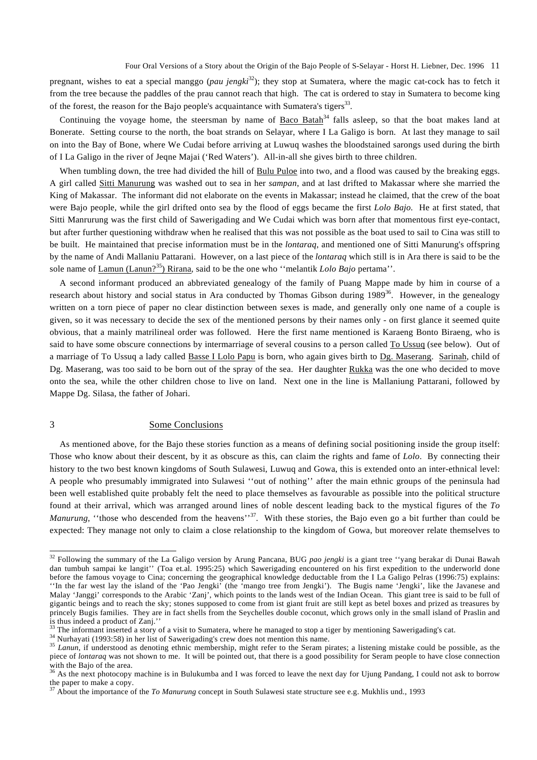pregnant, wishes to eat a special manggo (*pau jengki*<sup>32</sup>); they stop at Sumatera, where the magic cat-cock has to fetch it from the tree because the paddles of the prau cannot reach that high. The cat is ordered to stay in Sumatera to become king of the forest, the reason for the Bajo people's acquaintance with Sumatera's tigers<sup>33</sup>.

Continuing the voyage home, the steersman by name of Baco Batah<sup>34</sup> falls asleep, so that the boat makes land at Bonerate. Setting course to the north, the boat strands on Selayar, where I La Galigo is born. At last they manage to sail on into the Bay of Bone, where We Cudai before arriving at Luwuq washes the bloodstained sarongs used during the birth of I La Galigo in the river of Jeqne Majai ('Red Waters'). All-in-all she gives birth to three children.

When tumbling down, the tree had divided the hill of Bulu Puloe into two, and a flood was caused by the breaking eggs. A girl called Sitti Manurung was washed out to sea in her *sampan*, and at last drifted to Makassar where she married the King of Makassar. The informant did not elaborate on the events in Makassar; instead he claimed, that the crew of the boat were Bajo people, while the girl drifted onto sea by the flood of eggs became the first *Lolo Bajo.* He at first stated, that Sitti Manrurung was the first child of Sawerigading and We Cudai which was born after that momentous first eye-contact, but after further questioning withdraw when he realised that this was not possible as the boat used to sail to Cina was still to be built. He maintained that precise information must be in the *lontaraq*, and mentioned one of Sitti Manurung's offspring by the name of Andi Mallaniu Pattarani. However, on a last piece of the *lontaraq* which still is in Ara there is said to be the sole name of <u>Lamun (Lanun?<sup>35</sup>)</u> Rirana, said to be the one who "melantik *Lolo Bajo* pertama".

A second informant produced an abbreviated genealogy of the family of Puang Mappe made by him in course of a research about history and social status in Ara conducted by Thomas Gibson during 1989<sup>36</sup>. However, in the genealogy written on a torn piece of paper no clear distinction between sexes is made, and generally only one name of a couple is given, so it was necessary to decide the sex of the mentioned persons by their names only - on first glance it seemed quite obvious, that a mainly matrilineal order was followed. Here the first name mentioned is Karaeng Bonto Biraeng, who is said to have some obscure connections by intermarriage of several cousins to a person called To Ussuq (see below). Out of a marriage of To Ussuq a lady called Basse I Lolo Papu is born, who again gives birth to Dg. Maserang. Sarinah, child of Dg. Maserang, was too said to be born out of the spray of the sea. Her daughter Rukka was the one who decided to move onto the sea, while the other children chose to live on land. Next one in the line is Mallaniung Pattarani, followed by Mappe Dg. Silasa, the father of Johari.

#### 3 Some Conclusions

l

As mentioned above, for the Bajo these stories function as a means of defining social positioning inside the group itself: Those who know about their descent, by it as obscure as this, can claim the rights and fame of *Lolo*. By connecting their history to the two best known kingdoms of South Sulawesi, Luwuq and Gowa, this is extended onto an inter-ethnical level: A people who presumably immigrated into Sulawesi ''out of nothing'' after the main ethnic groups of the peninsula had been well established quite probably felt the need to place themselves as favourable as possible into the political structure found at their arrival, which was arranged around lines of noble descent leading back to the mystical figures of the *To Manurung*, "those who descended from the heavens"<sup>37</sup>. With these stories, the Bajo even go a bit further than could be expected: They manage not only to claim a close relationship to the kingdom of Gowa, but moreover relate themselves to

<sup>32</sup> Following the summary of the La Galigo version by Arung Pancana, BUG *pao jengki* is a giant tree ''yang berakar di Dunai Bawah dan tumbuh sampai ke langit'' (Toa et.al. 1995:25) which Sawerigading encountered on his first expedition to the underworld done before the famous voyage to Cina; concerning the geographical knowledge deductable from the I La Galigo Pelras (1996:75) explains: ''In the far west lay the island of the 'Pao Jengki' (the 'mango tree from Jengki'). The Bugis name 'Jengki', like the Javanese and Malay 'Janggi' corresponds to the Arabic 'Zanj', which points to the lands west of the Indian Ocean. This giant tree is said to be full of gigantic beings and to reach the sky; stones supposed to come from ist giant fruit are still kept as betel boxes and prized as treasures by princely Bugis families. They are in fact shells from the Seychelles double coconut, which grows only in the small island of Praslin and is thus indeed a product of Zanj.''

<sup>&</sup>lt;sup>33</sup> The informant inserted a story of a visit to Sumatera, where he managed to stop a tiger by mentioning Sawerigading's cat.<br><sup>34</sup> Nurhayati (1993:58) in her list of Sawerigading's crew does not mention this name.<br><sup>35</sup> La piece of *lontaraq* was not shown to me. It will be pointed out, that there is a good possibility for Seram people to have close connection with the Bajo of the area.

 $36$  As the next photocopy machine is in Bulukumba and I was forced to leave the next day for Ujung Pandang, I could not ask to borrow the paper to make a copy.

<sup>37</sup> About the importance of the *To Manurung* concept in South Sulawesi state structure see e.g. Mukhlis und., 1993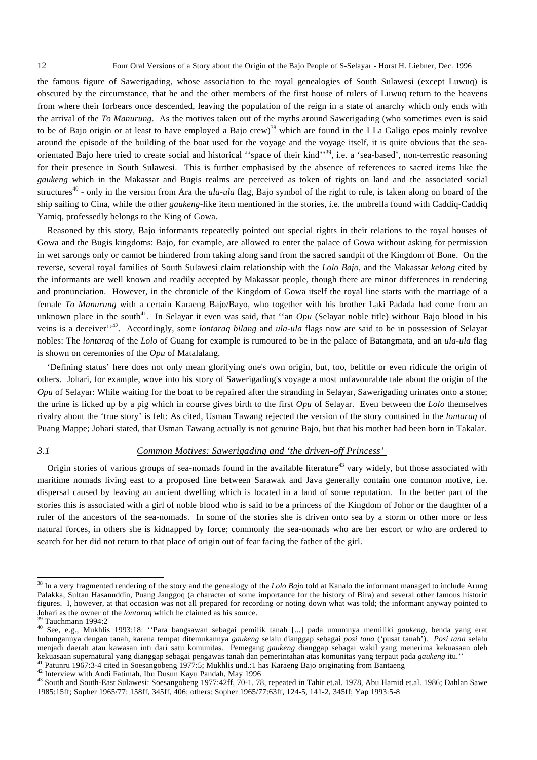the famous figure of Sawerigading, whose association to the royal genealogies of South Sulawesi (except Luwuq) is obscured by the circumstance, that he and the other members of the first house of rulers of Luwuq return to the heavens from where their forbears once descended, leaving the population of the reign in a state of anarchy which only ends with the arrival of the *To Manurung*. As the motives taken out of the myths around Sawerigading (who sometimes even is said to be of Bajo origin or at least to have employed a Bajo crew)<sup>38</sup> which are found in the I La Galigo epos mainly revolve around the episode of the building of the boat used for the voyage and the voyage itself, it is quite obvious that the seaorientated Bajo here tried to create social and historical "space of their kind"<sup>39</sup>, i.e. a 'sea-based', non-terrestic reasoning for their presence in South Sulawesi. This is further emphasised by the absence of references to sacred items like the *gaukeng* which in the Makassar and Bugis realms are perceived as token of rights on land and the associated social structures<sup>40</sup> - only in the version from Ara the *ula-ula* flag, Bajo symbol of the right to rule, is taken along on board of the ship sailing to Cina, while the other *gaukeng*-like item mentioned in the stories, i.e. the umbrella found with Caddiq-Caddiq Yamiq, professedly belongs to the King of Gowa.

Reasoned by this story, Bajo informants repeatedly pointed out special rights in their relations to the royal houses of Gowa and the Bugis kingdoms: Bajo, for example, are allowed to enter the palace of Gowa without asking for permission in wet sarongs only or cannot be hindered from taking along sand from the sacred sandpit of the Kingdom of Bone. On the reverse, several royal families of South Sulawesi claim relationship with the *Lolo Bajo*, and the Makassar *kelong* cited by the informants are well known and readily accepted by Makassar people, though there are minor differences in rendering and pronunciation. However, in the chronicle of the Kingdom of Gowa itself the royal line starts with the marriage of a female *To Manurung* with a certain Karaeng Bajo/Bayo, who together with his brother Laki Padada had come from an unknown place in the south<sup>41</sup>. In Selayar it even was said, that "an  $Opu$  (Selayar noble title) without Bajo blood in his veins is a deceiver'<sup>42</sup>. Accordingly, some *lontaraq bilang* and *ula-ula* flags now are said to be in possession of Selayar nobles: The *lontaraq* of the *Lolo* of Guang for example is rumoured to be in the palace of Batangmata, and an *ula-ula* flag is shown on ceremonies of the *Opu* of Matalalang.

'Defining status' here does not only mean glorifying one's own origin, but, too, belittle or even ridicule the origin of others. Johari, for example, wove into his story of Sawerigading's voyage a most unfavourable tale about the origin of the *Opu* of Selayar: While waiting for the boat to be repaired after the stranding in Selayar, Sawerigading urinates onto a stone; the urine is licked up by a pig which in course gives birth to the first *Opu* of Selayar. Even between the *Lolo* themselves rivalry about the 'true story' is felt: As cited, Usman Tawang rejected the version of the story contained in the *lontaraq* of Puang Mappe; Johari stated, that Usman Tawang actually is not genuine Bajo, but that his mother had been born in Takalar.

### *3.1 Common Motives: Sawerigading and 'the driven-off Princess'*

Origin stories of various groups of sea-nomads found in the available literature<sup>43</sup> vary widely, but those associated with maritime nomads living east to a proposed line between Sarawak and Java generally contain one common motive, i.e. dispersal caused by leaving an ancient dwelling which is located in a land of some reputation. In the better part of the stories this is associated with a girl of noble blood who is said to be a princess of the Kingdom of Johor or the daughter of a ruler of the ancestors of the sea-nomads. In some of the stories she is driven onto sea by a storm or other more or less natural forces, in others she is kidnapped by force; commonly the sea-nomads who are her escort or who are ordered to search for her did not return to that place of origin out of fear facing the father of the girl.

<sup>38</sup> In a very fragmented rendering of the story and the genealogy of the *Lolo Bajo* told at Kanalo the informant managed to include Arung Palakka, Sultan Hasanuddin, Puang Janggoq (a character of some importance for the history of Bira) and several other famous historic figures. I, however, at that occasion was not all prepared for recording or noting down what was told; the informant anyway pointed to Johari as the owner of the *lontaraq* which he claimed as his source. 39 Tauchmann 1994:2

<sup>40</sup> See, e.g., Mukhlis 1993:18: ''Para bangsawan sebagai pemilik tanah [...] pada umumnya memiliki *gaukeng*, benda yang erat hubungannya dengan tanah, karena tempat ditemukannya *gaukeng* selalu dianggap sebagai *posi tana* ('pusat tanah'). *Posi tana* selalu menjadi daerah atau kawasan inti dari satu komunitas. Pemegang *gaukeng* dianggap sebagai wakil yang menerima kekuasaan oleh<br>kekuasaan supernatural yang dianggap sebagai pengawas tanah dan pemerintahan atas komunitas yang

<sup>&</sup>lt;sup>41</sup> Patunru 1967:3-4 cited in Soesangobeng 1977:5; Mukhlis und.:1 has Karaeng Bajo originating from Bantaeng<br><sup>42</sup> Interview with Andi Fatimah, Ibu Dusun Kayu Pandah, May 1996<br><sup>43</sup> South and South-East Sulawesi: Soesangob 1985:15ff; Sopher 1965/77: 158ff, 345ff, 406; others: Sopher 1965/77:63ff, 124-5, 141-2, 345ff; Yap 1993:5-8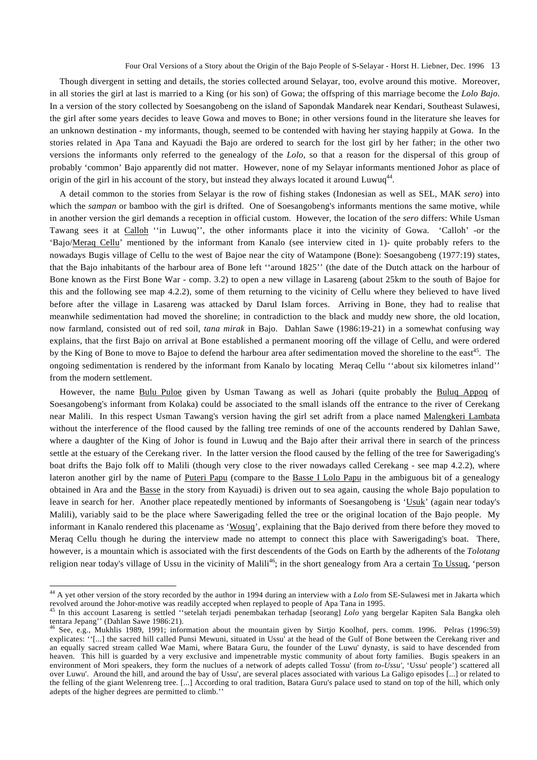Though divergent in setting and details, the stories collected around Selayar, too, evolve around this motive. Moreover, in all stories the girl at last is married to a King (or his son) of Gowa; the offspring of this marriage become the *Lolo Bajo*. In a version of the story collected by Soesangobeng on the island of Sapondak Mandarek near Kendari, Southeast Sulawesi, the girl after some years decides to leave Gowa and moves to Bone; in other versions found in the literature she leaves for an unknown destination - my informants, though, seemed to be contended with having her staying happily at Gowa. In the stories related in Apa Tana and Kayuadi the Bajo are ordered to search for the lost girl by her father; in the other two versions the informants only referred to the genealogy of the *Lolo*, so that a reason for the dispersal of this group of probably 'common' Bajo apparently did not matter. However, none of my Selayar informants mentioned Johor as place of origin of the girl in his account of the story, but instead they always located it around Luwuq<sup>44</sup>.

A detail common to the stories from Selayar is the row of fishing stakes (Indonesian as well as SEL, MAK *sero*) into which the *sampan* or bamboo with the girl is drifted. One of Soesangobeng's informants mentions the same motive, while in another version the girl demands a reception in official custom. However, the location of the *sero* differs: While Usman Tawang sees it at Calloh ''in Luwuq'', the other informants place it into the vicinity of Gowa. 'Calloh' -or the 'Bajo/Meraq Cellu' mentioned by the informant from Kanalo (see interview cited in 1)- quite probably refers to the nowadays Bugis village of Cellu to the west of Bajoe near the city of Watampone (Bone): Soesangobeng (1977:19) states, that the Bajo inhabitants of the harbour area of Bone left ''around 1825'' (the date of the Dutch attack on the harbour of Bone known as the First Bone War - comp. 3.2) to open a new village in Lasareng (about 25km to the south of Bajoe for this and the following see map 4.2.2), some of them returning to the vicinity of Cellu where they believed to have lived before after the village in Lasareng was attacked by Darul Islam forces. Arriving in Bone, they had to realise that meanwhile sedimentation had moved the shoreline; in contradiction to the black and muddy new shore, the old location, now farmland, consisted out of red soil, *tana mirak* in Bajo. Dahlan Sawe (1986:19-21) in a somewhat confusing way explains, that the first Bajo on arrival at Bone established a permanent mooring off the village of Cellu, and were ordered by the King of Bone to move to Bajoe to defend the harbour area after sedimentation moved the shoreline to the east<sup>45</sup>. The ongoing sedimentation is rendered by the informant from Kanalo by locating Meraq Cellu ''about six kilometres inland'' from the modern settlement.

However, the name Bulu Puloe given by Usman Tawang as well as Johari (quite probably the Buluq Appoq of Soesangobeng's informant from Kolaka) could be associated to the small islands off the entrance to the river of Cerekang near Malili. In this respect Usman Tawang's version having the girl set adrift from a place named Malengkeri Lambata without the interference of the flood caused by the falling tree reminds of one of the accounts rendered by Dahlan Sawe, where a daughter of the King of Johor is found in Luwuq and the Bajo after their arrival there in search of the princess settle at the estuary of the Cerekang river. In the latter version the flood caused by the felling of the tree for Sawerigading's boat drifts the Bajo folk off to Malili (though very close to the river nowadays called Cerekang - see map 4.2.2), where lateron another girl by the name of Puteri Papu (compare to the Basse I Lolo Papu in the ambiguous bit of a genealogy obtained in Ara and the Basse in the story from Kayuadi) is driven out to sea again, causing the whole Bajo population to leave in search for her. Another place repeatedly mentioned by informants of Soesangobeng is 'Usuk' (again near today's Malili), variably said to be the place where Sawerigading felled the tree or the original location of the Bajo people. My informant in Kanalo rendered this placename as 'Wosuq', explaining that the Bajo derived from there before they moved to Meraq Cellu though he during the interview made no attempt to connect this place with Sawerigading's boat. There, however, is a mountain which is associated with the first descendents of the Gods on Earth by the adherents of the *Tolotang* religion near today's village of Ussu in the vicinity of Malili<sup>46</sup>; in the short genealogy from Ara a certain To Ussuq, 'person

<sup>44</sup> A yet other version of the story recorded by the author in 1994 during an interview with a *Lolo* from SE-Sulawesi met in Jakarta which revolved around the Johor-motive was readily accepted when replayed to people of Apa Tana in 1995.<br><sup>45</sup> In this account Lasareng is settled "setelah terjadi penembakan terhadap [seorang] *Lolo* yang bergelar Kapiten Sala B

tentara Jepang'' (Dahlan Sawe 1986:21).

<sup>46</sup> See, e.g., Mukhlis 1989, 1991; information about the mountain given by Sirtjo Koolhof, pers. comm. 1996. Pelras (1996:59) explicates: ''[...] the sacred hill called Punsi Mewuni, situated in Ussu' at the head of the Gulf of Bone between the Cerekang river and an equally sacred stream called Wae Mami, where Batara Guru, the founder of the Luwu' dynasty, is said to have descended from heaven. This hill is guarded by a very exclusive and impenetrable mystic community of about forty families. Bugis speakers in an environment of Mori speakers, they form the nuclues of a network of adepts called Tossu' (from *to-Ussu'*, 'Ussu' people') scattered all over Luwu'. Around the hill, and around the bay of Ussu', are several places associated with various La Galigo episodes [...] or related to the felling of the giant Welenreng tree. [...] According to oral tradition, Batara Guru's palace used to stand on top of the hill, which only adepts of the higher degrees are permitted to climb.''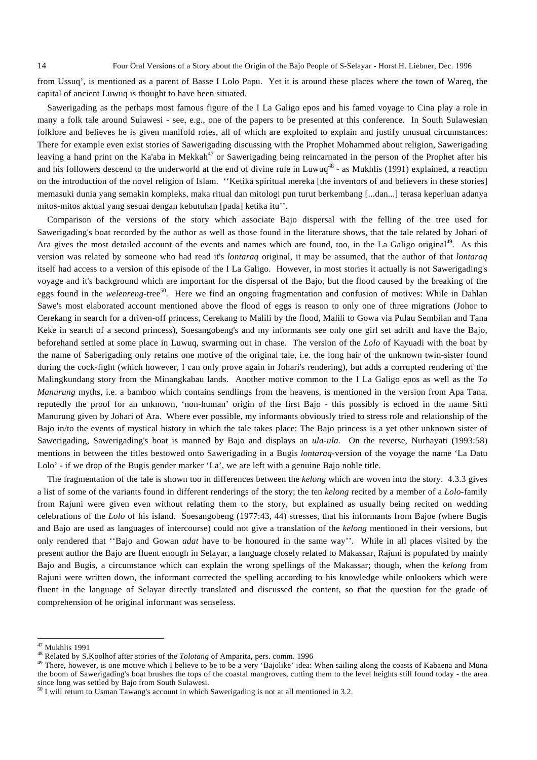from Ussuq', is mentioned as a parent of Basse I Lolo Papu. Yet it is around these places where the town of Wareq, the capital of ancient Luwuq is thought to have been situated.

Sawerigading as the perhaps most famous figure of the I La Galigo epos and his famed voyage to Cina play a role in many a folk tale around Sulawesi - see, e.g., one of the papers to be presented at this conference. In South Sulawesian folklore and believes he is given manifold roles, all of which are exploited to explain and justify unusual circumstances: There for example even exist stories of Sawerigading discussing with the Prophet Mohammed about religion, Sawerigading leaving a hand print on the Ka'aba in Mekkah<sup>47</sup> or Sawerigading being reincarnated in the person of the Prophet after his and his followers descend to the underworld at the end of divine rule in Luwuq<sup>48</sup> - as Mukhlis (1991) explained, a reaction on the introduction of the novel religion of Islam. ''Ketika spiritual mereka [the inventors of and believers in these stories] memasuki dunia yang semakin kompleks, maka ritual dan mitologi pun turut berkembang [...dan...] terasa keperluan adanya mitos-mitos aktual yang sesuai dengan kebutuhan [pada] ketika itu''.

Comparison of the versions of the story which associate Bajo dispersal with the felling of the tree used for Sawerigading's boat recorded by the author as well as those found in the literature shows, that the tale related by Johari of Ara gives the most detailed account of the events and names which are found, too, in the La Galigo original<sup>49</sup>. As this version was related by someone who had read it's *lontaraq* original, it may be assumed, that the author of that *lontaraq* itself had access to a version of this episode of the I La Galigo. However, in most stories it actually is not Sawerigading's voyage and it's background which are important for the dispersal of the Bajo, but the flood caused by the breaking of the eggs found in the *welenreng*-tree<sup>50</sup>. Here we find an ongoing fragmentation and confusion of motives: While in Dahlan Sawe's most elaborated account mentioned above the flood of eggs is reason to only one of three migrations (Johor to Cerekang in search for a driven-off princess, Cerekang to Malili by the flood, Malili to Gowa via Pulau Sembilan and Tana Keke in search of a second princess), Soesangobeng's and my informants see only one girl set adrift and have the Bajo, beforehand settled at some place in Luwuq, swarming out in chase. The version of the *Lolo* of Kayuadi with the boat by the name of Saberigading only retains one motive of the original tale, i.e. the long hair of the unknown twin-sister found during the cock-fight (which however, I can only prove again in Johari's rendering), but adds a corrupted rendering of the Malingkundang story from the Minangkabau lands. Another motive common to the I La Galigo epos as well as the *To Manurung* myths, i.e. a bamboo which contains sendlings from the heavens, is mentioned in the version from Apa Tana, reputedly the proof for an unknown, 'non-human' origin of the first Bajo - this possibly is echoed in the name Sitti Manurung given by Johari of Ara. Where ever possible, my informants obviously tried to stress role and relationship of the Bajo in/to the events of mystical history in which the tale takes place: The Bajo princess is a yet other unknown sister of Sawerigading, Sawerigading's boat is manned by Bajo and displays an *ula-ula*. On the reverse, Nurhayati (1993:58) mentions in between the titles bestowed onto Sawerigading in a Bugis *lontaraq*-version of the voyage the name 'La Datu Lolo' - if we drop of the Bugis gender marker 'La', we are left with a genuine Bajo noble title.

The fragmentation of the tale is shown too in differences between the *kelong* which are woven into the story. 4.3.3 gives a list of some of the variants found in different renderings of the story; the ten *kelong* recited by a member of a *Lolo-*family from Rajuni were given even without relating them to the story, but explained as usually being recited on wedding celebrations of the *Lolo* of his island. Soesangobeng (1977:43, 44) stresses, that his informants from Bajoe (where Bugis and Bajo are used as languages of intercourse) could not give a translation of the *kelong* mentioned in their versions, but only rendered that ''Bajo and Gowan *adat* have to be honoured in the same way''. While in all places visited by the present author the Bajo are fluent enough in Selayar, a language closely related to Makassar, Rajuni is populated by mainly Bajo and Bugis, a circumstance which can explain the wrong spellings of the Makassar; though, when the *kelong* from Rajuni were written down, the informant corrected the spelling according to his knowledge while onlookers which were fluent in the language of Selayar directly translated and discussed the content, so that the question for the grade of comprehension of he original informant was senseless.

 $47$  Mukhlis 1991

<sup>&</sup>lt;sup>48</sup> Related by S.Koolhof after stories of the *Tolotang* of Amparita, pers. comm. 1996<br><sup>49</sup> There, however, is one motive which I believe to be to be a very 'Bajolike' idea: When sailing along the coasts of Kabaena and Mu the boom of Sawerigading's boat brushes the tops of the coastal mangroves, cutting them to the level heights still found today - the area since long was settled by Bajo from South Sulawesi.

 $50$  I will return to Usman Tawang's account in which Sawerigading is not at all mentioned in 3.2.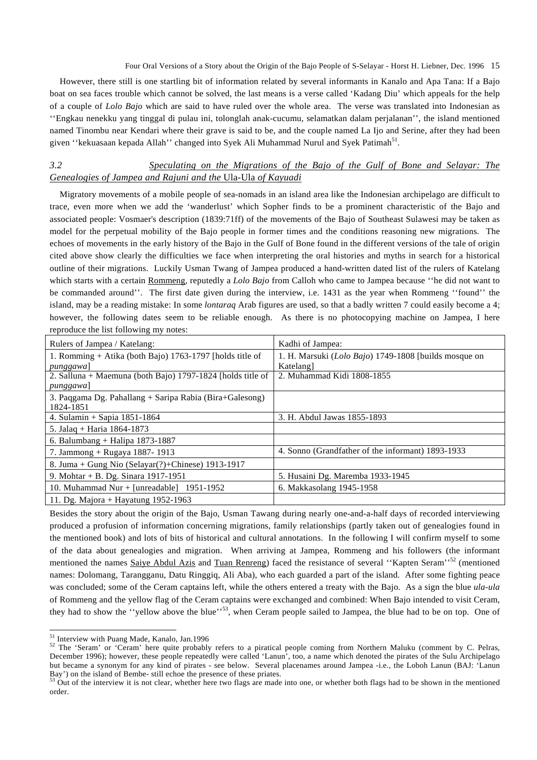However, there still is one startling bit of information related by several informants in Kanalo and Apa Tana: If a Bajo boat on sea faces trouble which cannot be solved, the last means is a verse called 'Kadang Diu' which appeals for the help of a couple of *Lolo Bajo* which are said to have ruled over the whole area. The verse was translated into Indonesian as ''Engkau nenekku yang tinggal di pulau ini, tolonglah anak-cucumu, selamatkan dalam perjalanan'', the island mentioned named Tinombu near Kendari where their grave is said to be, and the couple named La Ijo and Serine, after they had been given "kekuasaan kepada Allah" changed into Syek Ali Muhammad Nurul and Syek Patimah<sup>51</sup>.

# *3.2 Speculating on the Migrations of the Bajo of the Gulf of Bone and Selayar: The Genealogies of Jampea and Rajuni and the* Ula-Ula *of Kayuadi*

Migratory movements of a mobile people of sea-nomads in an island area like the Indonesian archipelago are difficult to trace, even more when we add the 'wanderlust' which Sopher finds to be a prominent characteristic of the Bajo and associated people: Vosmaer's description (1839:71ff) of the movements of the Bajo of Southeast Sulawesi may be taken as model for the perpetual mobility of the Bajo people in former times and the conditions reasoning new migrations. The echoes of movements in the early history of the Bajo in the Gulf of Bone found in the different versions of the tale of origin cited above show clearly the difficulties we face when interpreting the oral histories and myths in search for a historical outline of their migrations. Luckily Usman Twang of Jampea produced a hand-written dated list of the rulers of Katelang which starts with a certain Rommeng, reputedly a *Lolo Bajo* from Calloh who came to Jampea because ''he did not want to be commanded around''. The first date given during the interview, i.e. 1431 as the year when Rommeng ''found'' the island, may be a reading mistake: In some *lontaraq* Arab figures are used, so that a badly written 7 could easily become a 4; however, the following dates seem to be reliable enough. As there is no photocopying machine on Jampea, I here reproduce the list following my notes:

| Rulers of Jampea / Katelang:                                            | Kadhi of Jampea:                                                   |
|-------------------------------------------------------------------------|--------------------------------------------------------------------|
| 1. Romming + Atika (both Bajo) 1763-1797 [holds title of<br>punggawa]   | 1. H. Marsuki (Lolo Bajo) 1749-1808 [builds mosque on<br>Katelang] |
| 2. Salluna + Maemuna (both Bajo) 1797-1824 [holds title of<br>punggawa] | 2. Muhammad Kidi 1808-1855                                         |
| 3. Paqgama Dg. Pahallang + Saripa Rabia (Bira+Galesong)<br>1824-1851    |                                                                    |
| 4. Sulamin + Sapia $1851 - 1864$                                        | 3. H. Abdul Jawas 1855-1893                                        |
| 5. Jalaq + Haria 1864-1873                                              |                                                                    |
| 6. Balumbang + Halipa 1873-1887                                         |                                                                    |
| 7. Jammong + Rugaya 1887-1913                                           | 4. Sonno (Grandfather of the informant) 1893-1933                  |
| 8. Juma + Gung Nio (Selayar(?)+Chinese) 1913-1917                       |                                                                    |
| 9. Mohtar + B. Dg. Sinara 1917-1951                                     | 5. Husaini Dg. Maremba 1933-1945                                   |
| 10. Muhammad Nur + [unreadable] $1951-1952$                             | 6. Makkasolang 1945-1958                                           |
| 11. Dg. Majora + Hayatung $1952-1963$                                   |                                                                    |

Besides the story about the origin of the Bajo, Usman Tawang during nearly one-and-a-half days of recorded interviewing produced a profusion of information concerning migrations, family relationships (partly taken out of genealogies found in the mentioned book) and lots of bits of historical and cultural annotations. In the following I will confirm myself to some of the data about genealogies and migration. When arriving at Jampea, Rommeng and his followers (the informant mentioned the names Saiye Abdul Azis and Tuan Renreng) faced the resistance of several "Kapten Seram"<sup>52</sup> (mentioned names: Dolomang, Tarangganu, Datu Ringgiq, Ali Aba), who each guarded a part of the island. After some fighting peace was concluded; some of the Ceram captains left, while the others entered a treaty with the Bajo. As a sign the blue *ula-ula* of Rommeng and the yellow flag of the Ceram captains were exchanged and combined: When Bajo intended to visit Ceram, they had to show the "yellow above the blue"<sup>53</sup>, when Ceram people sailed to Jampea, the blue had to be on top. One of

<sup>&</sup>lt;sup>51</sup> Interview with Puang Made, Kanalo, Jan.1996

<sup>&</sup>lt;sup>52</sup> The 'Seram' or 'Ceram' here quite probably refers to a piratical people coming from Northern Maluku (comment by C. Pelras, December 1996); however, these people repeatedly were called 'Lanun', too, a name which denoted the pirates of the Sulu Archipelago but became a synonym for any kind of pirates - see below. Several placenames around Jampea -i.e., the Loboh Lanun (BAJ: 'Lanun Bay') on the island of Bembe- still echoe the presence of these priates.

 $\frac{53}{33}$  Out of the interview it is not clear, whether here two flags are made into one, or whether both flags had to be shown in the mentioned order.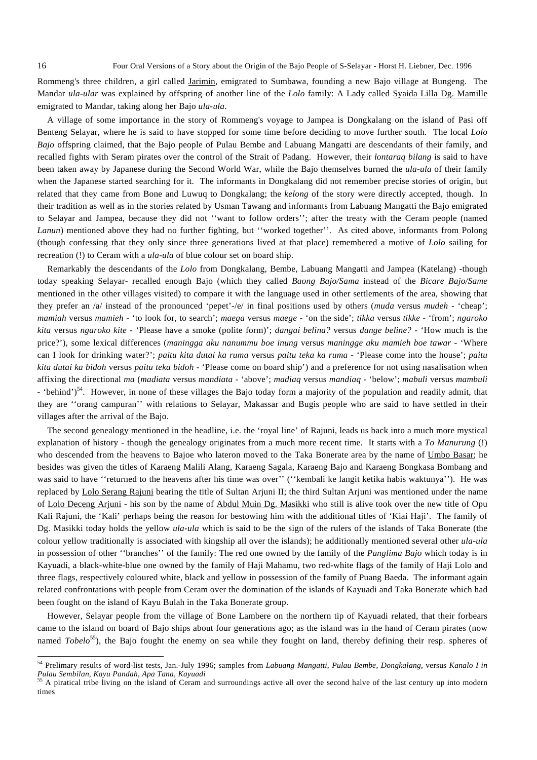Rommeng's three children, a girl called Jarimin, emigrated to Sumbawa, founding a new Bajo village at Bungeng. The Mandar *ula-ular* was explained by offspring of another line of the *Lolo* family: A Lady called Syaida Lilla Dg. Mamille emigrated to Mandar, taking along her Bajo *ula-ula*.

A village of some importance in the story of Rommeng's voyage to Jampea is Dongkalang on the island of Pasi off Benteng Selayar, where he is said to have stopped for some time before deciding to move further south. The local *Lolo Bajo* offspring claimed, that the Bajo people of Pulau Bembe and Labuang Mangatti are descendants of their family, and recalled fights with Seram pirates over the control of the Strait of Padang. However, their *lontaraq bilang* is said to have been taken away by Japanese during the Second World War, while the Bajo themselves burned the *ula-ula* of their family when the Japanese started searching for it. The informants in Dongkalang did not remember precise stories of origin, but related that they came from Bone and Luwuq to Dongkalang; the *kelong* of the story were directly accepted, though. In their tradition as well as in the stories related by Usman Tawang and informants from Labuang Mangatti the Bajo emigrated to Selayar and Jampea, because they did not ''want to follow orders''; after the treaty with the Ceram people (named *Lanun*) mentioned above they had no further fighting, but ''worked together''. As cited above, informants from Polong (though confessing that they only since three generations lived at that place) remembered a motive of *Lolo* sailing for recreation (!) to Ceram with a *ula-ula* of blue colour set on board ship.

Remarkably the descendants of the *Lolo* from Dongkalang, Bembe, Labuang Mangatti and Jampea (Katelang) -though today speaking Selayar- recalled enough Bajo (which they called *Baong Bajo/Sama* instead of the *Bicare Bajo/Same*  mentioned in the other villages visited) to compare it with the language used in other settlements of the area, showing that they prefer an /a/ instead of the pronounced 'pepet'-/e/ in final positions used by others (*muda* versus *mudeh* - 'cheap'; *mamiah* versus *mamieh* - 'to look for, to search'; *maega* versus *maege* - 'on the side'; *tikka* versus *tikke* - 'from'; *ngaroko kita* versus *ngaroko kite* - 'Please have a smoke (polite form)'; *dangai belina?* versus *dange beline?* - 'How much is the price?'), some lexical differences (*maningga aku nanummu boe inung* versus *maningge aku mamieh boe tawar* - 'Where can I look for drinking water?'; *paitu kita dutai ka ruma* versus *paitu teka ka ruma* - 'Please come into the house'; *paitu kita dutai ka bidoh* versus *paitu teka bidoh* - 'Please come on board ship') and a preference for not using nasalisation when affixing the directional *ma* (*madiata* versus *mandiata -* 'above'; *madiaq* versus *mandiaq* - 'below'; *mabuli* versus *mambuli* - 'behind')<sup>54</sup>. However, in none of these villages the Bajo today form a majority of the population and readily admit, that they are ''orang campuran'' with relations to Selayar, Makassar and Bugis people who are said to have settled in their villages after the arrival of the Bajo.

The second genealogy mentioned in the headline, i.e. the 'royal line' of Rajuni, leads us back into a much more mystical explanation of history - though the genealogy originates from a much more recent time. It starts with a *To Manurung* (!) who descended from the heavens to Bajoe who lateron moved to the Taka Bonerate area by the name of Umbo Basar; he besides was given the titles of Karaeng Malili Alang, Karaeng Sagala, Karaeng Bajo and Karaeng Bongkasa Bombang and was said to have ''returned to the heavens after his time was over'' (''kembali ke langit ketika habis waktunya''). He was replaced by Lolo Serang Rajuni bearing the title of Sultan Arjuni II; the third Sultan Arjuni was mentioned under the name of Lolo Deceng Arjuni - his son by the name of Abdul Muin Dg. Masikki who still is alive took over the new title of Opu Kali Rajuni, the 'Kali' perhaps being the reason for bestowing him with the additional titles of 'Kiai Haji'. The family of Dg. Masikki today holds the yellow *ula-ula* which is said to be the sign of the rulers of the islands of Taka Bonerate (the colour yellow traditionally is associated with kingship all over the islands); he additionally mentioned several other *ula-ula* in possession of other ''branches'' of the family: The red one owned by the family of the *Panglima Bajo* which today is in Kayuadi, a black-white-blue one owned by the family of Haji Mahamu, two red-white flags of the family of Haji Lolo and three flags, respectively coloured white, black and yellow in possession of the family of Puang Baeda. The informant again related confrontations with people from Ceram over the domination of the islands of Kayuadi and Taka Bonerate which had been fought on the island of Kayu Bulah in the Taka Bonerate group.

However, Selayar people from the village of Bone Lambere on the northern tip of Kayuadi related, that their forbears came to the island on board of Bajo ships about four generations ago; as the island was in the hand of Ceram pirates (now named *Tobelo*<sup>55</sup>), the Bajo fought the enemy on sea while they fought on land, thereby defining their resp. spheres of

<sup>54</sup> Prelimary results of word-list tests, Jan.-July 1996; samples from *Labuang Mangatti, Pulau Bembe, Dongkalang*, versus *Kanalo I in Pulau Sembilan, Kayu Pandah, Apa Tana, Kayuadi*

<sup>&</sup>lt;sup>55</sup> A piratical tribe living on the island of Ceram and surroundings active all over the second halve of the last century up into modern times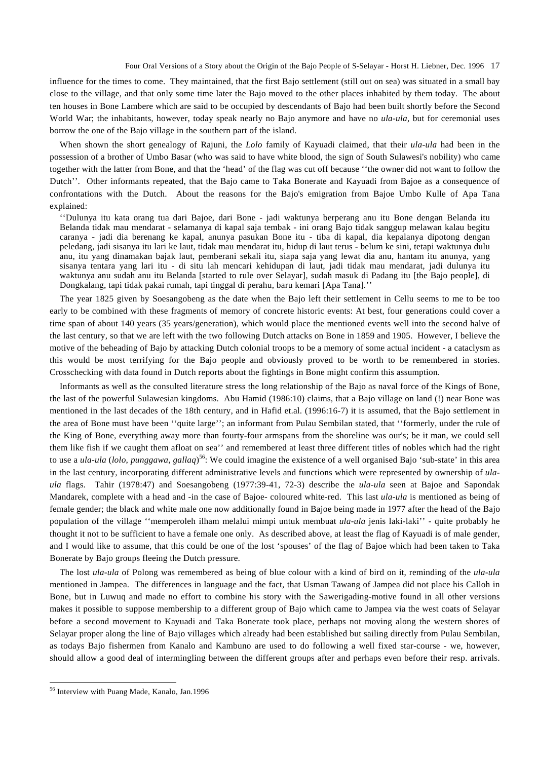influence for the times to come. They maintained, that the first Bajo settlement (still out on sea) was situated in a small bay close to the village, and that only some time later the Bajo moved to the other places inhabited by them today. The about ten houses in Bone Lambere which are said to be occupied by descendants of Bajo had been built shortly before the Second World War; the inhabitants, however, today speak nearly no Bajo anymore and have no *ula-ula*, but for ceremonial uses borrow the one of the Bajo village in the southern part of the island.

When shown the short genealogy of Rajuni, the *Lolo* family of Kayuadi claimed, that their *ula-ula* had been in the possession of a brother of Umbo Basar (who was said to have white blood, the sign of South Sulawesi's nobility) who came together with the latter from Bone, and that the 'head' of the flag was cut off because ''the owner did not want to follow the Dutch''. Other informants repeated, that the Bajo came to Taka Bonerate and Kayuadi from Bajoe as a consequence of confrontations with the Dutch. About the reasons for the Bajo's emigration from Bajoe Umbo Kulle of Apa Tana explained:

''Dulunya itu kata orang tua dari Bajoe, dari Bone - jadi waktunya berperang anu itu Bone dengan Belanda itu Belanda tidak mau mendarat - selamanya di kapal saja tembak - ini orang Bajo tidak sanggup melawan kalau begitu caranya - jadi dia berenang ke kapal, anunya pasukan Bone itu - tiba di kapal, dia kepalanya dipotong dengan peledang, jadi sisanya itu lari ke laut, tidak mau mendarat itu, hidup di laut terus - belum ke sini, tetapi waktunya dulu anu, itu yang dinamakan bajak laut, pemberani sekali itu, siapa saja yang lewat dia anu, hantam itu anunya, yang sisanya tentara yang lari itu - di situ lah mencari kehidupan di laut, jadi tidak mau mendarat, jadi dulunya itu waktunya anu sudah anu itu Belanda [started to rule over Selayar], sudah masuk di Padang itu [the Bajo people], di Dongkalang, tapi tidak pakai rumah, tapi tinggal di perahu, baru kemari [Apa Tana].''

The year 1825 given by Soesangobeng as the date when the Bajo left their settlement in Cellu seems to me to be too early to be combined with these fragments of memory of concrete historic events: At best, four generations could cover a time span of about 140 years (35 years/generation), which would place the mentioned events well into the second halve of the last century, so that we are left with the two following Dutch attacks on Bone in 1859 and 1905. However, I believe the motive of the beheading of Bajo by attacking Dutch colonial troops to be a memory of some actual incident - a cataclysm as this would be most terrifying for the Bajo people and obviously proved to be worth to be remembered in stories. Crosschecking with data found in Dutch reports about the fightings in Bone might confirm this assumption.

Informants as well as the consulted literature stress the long relationship of the Bajo as naval force of the Kings of Bone, the last of the powerful Sulawesian kingdoms. Abu Hamid (1986:10) claims, that a Bajo village on land (!) near Bone was mentioned in the last decades of the 18th century, and in Hafid et.al. (1996:16-7) it is assumed, that the Bajo settlement in the area of Bone must have been ''quite large''; an informant from Pulau Sembilan stated, that ''formerly, under the rule of the King of Bone, everything away more than fourty-four armspans from the shoreline was our's; be it man, we could sell them like fish if we caught them afloat on sea'' and remembered at least three different titles of nobles which had the right to use a *ula-ula* (*lolo*, *punggawa*, *gallaq*) 56: We could imagine the existence of a well organised Bajo 'sub-state' in this area in the last century, incorporating different administrative levels and functions which were represented by ownership of *ulaula* flags. Tahir (1978:47) and Soesangobeng (1977:39-41, 72-3) describe the *ula-ula* seen at Bajoe and Sapondak Mandarek, complete with a head and -in the case of Bajoe- coloured white-red. This last *ula-ula* is mentioned as being of female gender; the black and white male one now additionally found in Bajoe being made in 1977 after the head of the Bajo population of the village ''memperoleh ilham melalui mimpi untuk membuat *ula-ula* jenis laki-laki'' - quite probably he thought it not to be sufficient to have a female one only. As described above, at least the flag of Kayuadi is of male gender, and I would like to assume, that this could be one of the lost 'spouses' of the flag of Bajoe which had been taken to Taka Bonerate by Bajo groups fleeing the Dutch pressure.

The lost *ula-ula* of Polong was remembered as being of blue colour with a kind of bird on it, reminding of the *ula-ula* mentioned in Jampea. The differences in language and the fact, that Usman Tawang of Jampea did not place his Calloh in Bone, but in Luwuq and made no effort to combine his story with the Sawerigading-motive found in all other versions makes it possible to suppose membership to a different group of Bajo which came to Jampea via the west coats of Selayar before a second movement to Kayuadi and Taka Bonerate took place, perhaps not moving along the western shores of Selayar proper along the line of Bajo villages which already had been established but sailing directly from Pulau Sembilan, as todays Bajo fishermen from Kanalo and Kambuno are used to do following a well fixed star-course - we, however, should allow a good deal of intermingling between the different groups after and perhaps even before their resp. arrivals.

<sup>56</sup> Interview with Puang Made, Kanalo, Jan.1996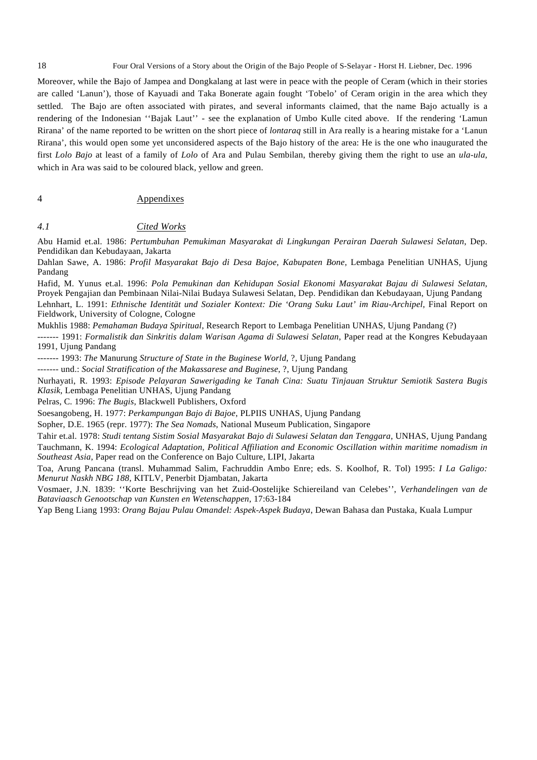Moreover, while the Bajo of Jampea and Dongkalang at last were in peace with the people of Ceram (which in their stories are called 'Lanun'), those of Kayuadi and Taka Bonerate again fought 'Tobelo' of Ceram origin in the area which they settled. The Bajo are often associated with pirates, and several informants claimed, that the name Bajo actually is a rendering of the Indonesian ''Bajak Laut'' - see the explanation of Umbo Kulle cited above. If the rendering 'Lamun Rirana' of the name reported to be written on the short piece of *lontaraq* still in Ara really is a hearing mistake for a 'Lanun Rirana', this would open some yet unconsidered aspects of the Bajo history of the area: He is the one who inaugurated the first *Lolo Bajo* at least of a family of *Lolo* of Ara and Pulau Sembilan, thereby giving them the right to use an *ula-ula*, which in Ara was said to be coloured black, yellow and green.

# 4 Appendixes

# *4.1 Cited Works*

Abu Hamid et.al. 1986: *Pertumbuhan Pemukiman Masyarakat di Lingkungan Perairan Daerah Sulawesi Selatan*, Dep. Pendidikan dan Kebudayaan, Jakarta

Dahlan Sawe, A. 1986: *Profil Masyarakat Bajo di Desa Bajoe, Kabupaten Bone*, Lembaga Penelitian UNHAS, Ujung Pandang

Hafid, M. Yunus et.al. 1996: *Pola Pemukinan dan Kehidupan Sosial Ekonomi Masyarakat Bajau di Sulawesi Selatan*, Proyek Pengajian dan Pembinaan Nilai-Nilai Budaya Sulawesi Selatan, Dep. Pendidikan dan Kebudayaan, Ujung Pandang Lehnhart, L. 1991: *Ethnische Identität und Sozialer Kontext: Die 'Orang Suku Laut' im Riau-Archipel*, Final Report on Fieldwork, University of Cologne, Cologne

Mukhlis 1988: *Pemahaman Budaya Spiritual*, Research Report to Lembaga Penelitian UNHAS, Ujung Pandang (?)

------- 1991: *Formalistik dan Sinkritis dalam Warisan Agama di Sulawesi Selatan*, Paper read at the Kongres Kebudayaan 1991, Ujung Pandang

------- 1993: *The* Manurung *Structure of State in the Buginese World*, ?, Ujung Pandang

------- und.: *Social Stratification of the Makassarese and Buginese*, ?, Ujung Pandang

Nurhayati, R. 1993: *Episode Pelayaran Sawerigading ke Tanah Cina: Suatu Tinjauan Struktur Semiotik Sastera Bugis Klasik*, Lembaga Penelitian UNHAS, Ujung Pandang

Pelras, C. 1996: *The Bugis*, Blackwell Publishers, Oxford

Soesangobeng, H. 1977: *Perkampungan Bajo di Bajoe*, PLPIIS UNHAS, Ujung Pandang

Sopher, D.E. 1965 (repr. 1977): *The Sea Nomads*, National Museum Publication, Singapore

Tahir et.al. 1978: *Studi tentang Sistim Sosial Masyarakat Bajo di Sulawesi Selatan dan Tenggara*, UNHAS, Ujung Pandang Tauchmann, K. 1994: *Ecological Adaptation, Political Affiliation and Economic Oscillation within maritime nomadism in Southeast Asia*, Paper read on the Conference on Bajo Culture, LIPI, Jakarta

Toa, Arung Pancana (transl. Muhammad Salim, Fachruddin Ambo Enre; eds. S. Koolhof, R. Tol) 1995: *I La Galigo: Menurut Naskh NBG 188*, KITLV, Penerbit Djambatan, Jakarta

Vosmaer, J.N. 1839: ''Korte Beschrijving van het Zuid-Oostelijke Schiereiland van Celebes'', *Verhandelingen van de Bataviaasch Genootschap van Kunsten en Wetenschappen*, 17:63-184

Yap Beng Liang 1993: *Orang Bajau Pulau Omandel: Aspek-Aspek Budaya*, Dewan Bahasa dan Pustaka, Kuala Lumpur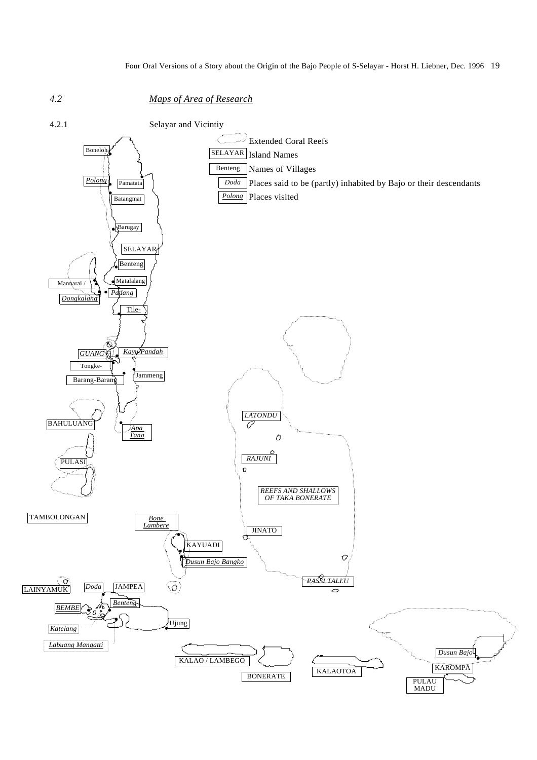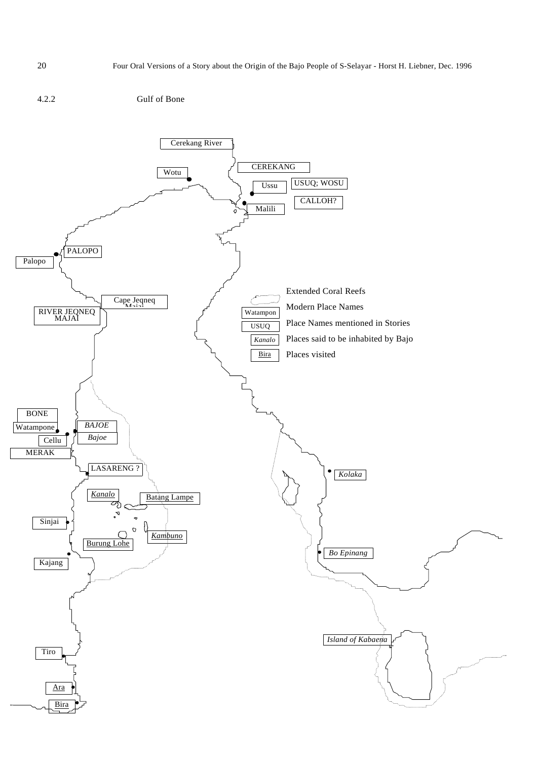# 4.2.2 Gulf of Bone

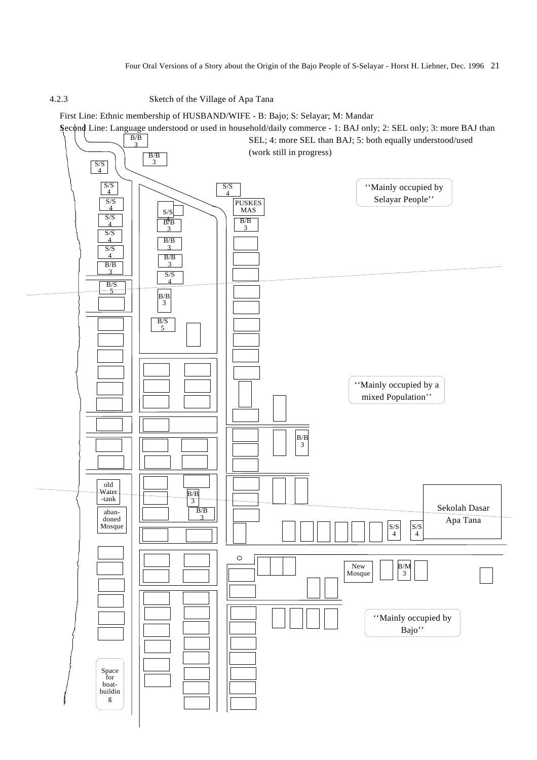## 4.2.3 Sketch of the Village of Apa Tana

First Line: Ethnic membership of HUSBAND/WIFE - B: Bajo; S: Selayar; M: Mandar

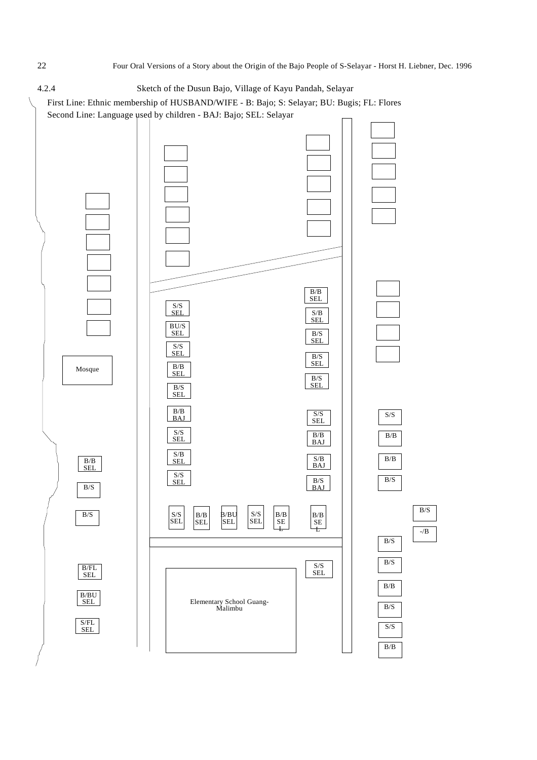$B/S$ 

 $-\sqrt{B}$ 

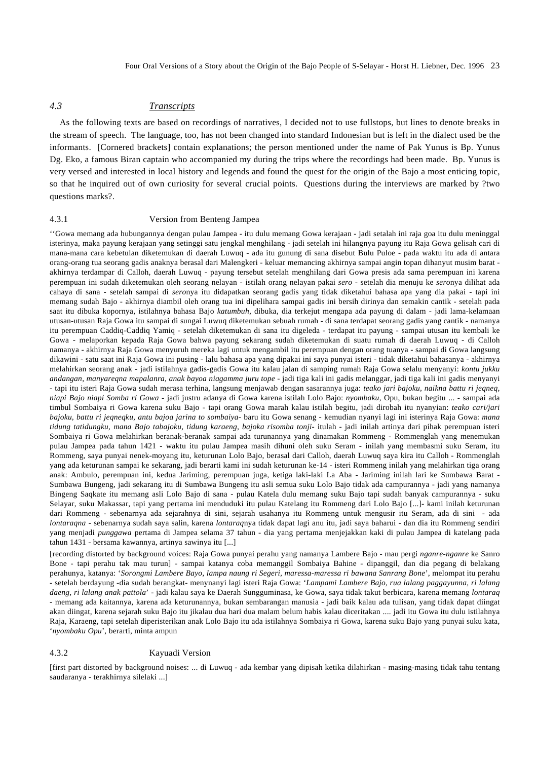# *4.3 Transcripts*

As the following texts are based on recordings of narratives, I decided not to use fullstops, but lines to denote breaks in the stream of speech. The language, too, has not been changed into standard Indonesian but is left in the dialect used be the informants. [Cornered brackets] contain explanations; the person mentioned under the name of Pak Yunus is Bp. Yunus Dg. Eko, a famous Biran captain who accompanied my during the trips where the recordings had been made. Bp. Yunus is very versed and interested in local history and legends and found the quest for the origin of the Bajo a most enticing topic, so that he inquired out of own curiosity for several crucial points. Questions during the interviews are marked by ?two questions marks?.

#### 4.3.1 Version from Benteng Jampea

''Gowa memang ada hubungannya dengan pulau Jampea - itu dulu memang Gowa kerajaan - jadi setalah ini raja goa itu dulu meninggal isterinya, maka payung kerajaan yang setinggi satu jengkal menghilang - jadi setelah ini hilangnya payung itu Raja Gowa gelisah cari di mana-mana cara kebetulan diketemukan di daerah Luwuq - ada itu gunung di sana disebut Bulu Puloe - pada waktu itu ada di antara orang-orang tua seorang gadis anaknya berasal dari Malengkeri - keluar memancing akhirnya sampai angin topan dihanyut musim barat akhirnya terdampar di Calloh, daerah Luwuq - payung tersebut setelah menghilang dari Gowa presis ada sama perempuan ini karena perempuan ini sudah diketemukan oleh seorang nelayan - istilah orang nelayan pakai *sero* - setelah dia menuju ke *sero*nya dilihat ada cahaya di sana - setelah sampai di *sero*nya itu didapatkan seorang gadis yang tidak diketahui bahasa apa yang dia pakai - tapi ini memang sudah Bajo - akhirnya diambil oleh orang tua ini dipelihara sampai gadis ini bersih dirinya dan semakin cantik - setelah pada saat itu dibuka kopornya, istilahnya bahasa Bajo *katumbuh*, dibuka, dia terkejut mengapa ada payung di dalam - jadi lama-kelamaan utusan-utusan Raja Gowa itu sampai di sungai Luwuq diketemukan sebuah rumah - di sana terdapat seorang gadis yang cantik - namanya itu perempuan Caddiq-Caddiq Yamiq - setelah diketemukan di sana itu digeleda - terdapat itu payung - sampai utusan itu kembali ke Gowa - melaporkan kepada Raja Gowa bahwa payung sekarang sudah diketemukan di suatu rumah di daerah Luwuq - di Calloh namanya - akhirnya Raja Gowa menyuruh mereka lagi untuk mengambil itu perempuan dengan orang tuanya - sampai di Gowa langsung dikawini - satu saat ini Raja Gowa ini pusing - lalu bahasa apa yang dipakai ini saya punyai isteri - tidak diketahui bahasanya - akhirnya melahirkan seorang anak - jadi istilahnya gadis-gadis Gowa itu kalau jalan di samping rumah Raja Gowa selalu menyanyi: *kontu jukku andangan, manyareqna mapalanra, anak bayoa niagamma juru tope* - jadi tiga kali ini gadis melanggar, jadi tiga kali ini gadis menyanyi - tapi itu isteri Raja Gowa sudah merasa terhina, langsung menjawab dengan sasarannya juga: *teako jari bajoku, naikna battu ri jeqneq, niapi Bajo niapi Somba ri Gowa* - jadi justru adanya di Gowa karena istilah Lolo Bajo: *nyombaku*, Opu, bukan begitu ... - sampai ada timbul Sombaiya ri Gowa karena suku Bajo - tapi orang Gowa marah kalau istilah begitu, jadi dirobah itu nyanyian: *teako cari/jari bajoku, battu ri jeqneqku, antu bajoa jarina to sombaiya*- baru itu Gowa senang - kemudian nyanyi lagi ini isterinya Raja Gowa: *mana tidung tatidungku, mana Bajo tabajoku, tidung karaeng, bajoka risomba tonji*- itulah - jadi inilah artinya dari pihak perempuan isteri Sombaiya ri Gowa melahirkan beranak-beranak sampai ada turunannya yang dinamakan Rommeng - Rommenglah yang menemukan pulau Jampea pada tahun 1421 - waktu itu pulau Jampea masih dihuni oleh suku Seram - inilah yang membasmi suku Seram, itu Rommeng, saya punyai nenek-moyang itu, keturunan Lolo Bajo, berasal dari Calloh, daerah Luwuq saya kira itu Calloh - Rommenglah yang ada keturunan sampai ke sekarang, jadi berarti kami ini sudah keturunan ke-14 - isteri Rommeng inilah yang melahirkan tiga orang anak: Ambulo, perempuan ini, kedua Jariming, perempuan juga, ketiga laki-laki La Aba - Jariming inilah lari ke Sumbawa Barat - Sumbawa Bungeng, jadi sekarang itu di Sumbawa Bungeng itu asli semua suku Lolo Bajo tidak ada campurannya - jadi yang namanya Bingeng Saqkate itu memang asli Lolo Bajo di sana - pulau Katela dulu memang suku Bajo tapi sudah banyak campurannya - suku Selayar, suku Makassar, tapi yang pertama ini menduduki itu pulau Katelang itu Rommeng dari Lolo Bajo [...]- kami inilah keturunan dari Rommeng - sebenarnya ada sejarahnya di sini, sejarah usahanya itu Rommeng untuk mengusir itu Seram, ada di sini - ada *lontaraqna* - sebenarnya sudah saya salin, karena *lontaraq*nya tidak dapat lagi anu itu, jadi saya baharui - dan dia itu Rommeng sendiri yang menjadi *punggawa* pertama di Jampea selama 37 tahun - dia yang pertama menjejakkan kaki di pulau Jampea di katelang pada tahun 1431 - bersama kawannya, artinya sawinya itu [...]

[recording distorted by background voices: Raja Gowa punyai perahu yang namanya Lambere Bajo - mau pergi *nganre-nganre* ke Sanro Bone - tapi perahu tak mau turun] - sampai katanya coba memanggil Sombaiya Bahine - dipanggil, dan dia pegang di belakang perahunya, katanya: '*Sorongmi Lambere Bayo, lampa naung ri Segeri, maressa-maressa ri bawana Sanrang Bone*', melompat itu perahu - setelah berdayung -dia sudah berangkat- menynanyi lagi isteri Raja Gowa: '*Lampami Lambere Bajo, rua lalang paggayunna, ri lalang daeng, ri lalang anak pattola*' - jadi kalau saya ke Daerah Sungguminasa, ke Gowa, saya tidak takut berbicara, karena memang *lontaraq* - memang ada kaitannya, karena ada keturunannya, bukan sembarangan manusia - jadi baik kalau ada tulisan, yang tidak dapat diingat akan diingat, karena sejarah suku Bajo itu jikalau dua hari dua malam belum habis kalau diceritakan .... jadi itu Gowa itu dulu istilahnya Raja, Karaeng, tapi setelah diperisterikan anak Lolo Bajo itu ada istilahnya Sombaiya ri Gowa, karena suku Bajo yang punyai suku kata, '*nyombaku Opu*', berarti, minta ampun

#### 4.3.2 Kayuadi Version

[first part distorted by background noises: ... di Luwuq - ada kembar yang dipisah ketika dilahirkan - masing-masing tidak tahu tentang saudaranya - terakhirnya silelaki ...]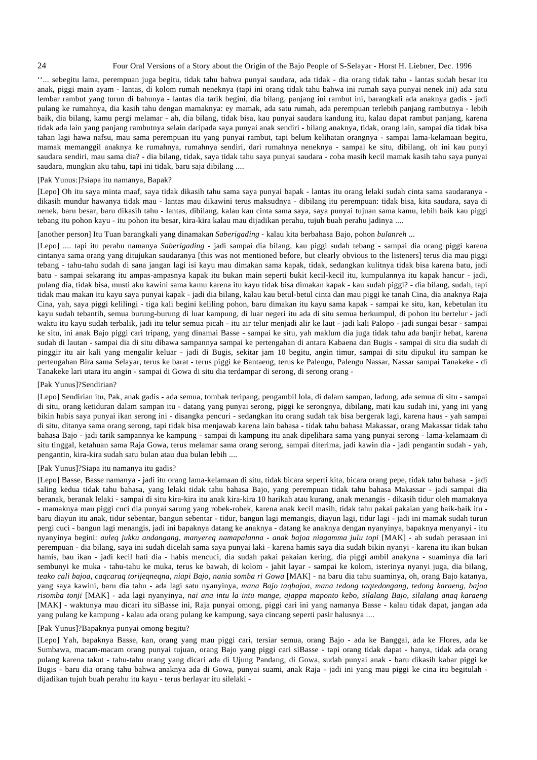''... sebegitu lama, perempuan juga begitu, tidak tahu bahwa punyai saudara, ada tidak - dia orang tidak tahu - lantas sudah besar itu anak, piggi main ayam - lantas, di kolom rumah neneknya (tapi ini orang tidak tahu bahwa ini rumah saya punyai nenek ini) ada satu lembar rambut yang turun di bahunya - lantas dia tarik begini, dia bilang, panjang ini rambut ini, barangkali ada anaknya gadis - jadi pulang ke rumahnya, dia kasih tahu dengan mamaknya: ey mamak, ada satu rumah, ada perempuan terlebih panjang rambutnya - lebih baik, dia bilang, kamu pergi melamar - ah, dia bilang, tidak bisa, kau punyai saudara kandung itu, kalau dapat rambut panjang, karena tidak ada lain yang panjang rambutnya selain daripada saya punyai anak sendiri - bilang anaknya, tidak, orang lain, sampai dia tidak bisa tahan lagi hawa nafsu, mau sama perempuan itu yang punyai rambut, tapi belum kelihatan orangnya - sampai lama-kelamaan begitu, mamak memanggil anaknya ke rumahnya, rumahnya sendiri, dari rumahnya neneknya - sampai ke situ, dibilang, oh ini kau punyi saudara sendiri, mau sama dia? - dia bilang, tidak, saya tidak tahu saya punyai saudara - coba masih kecil mamak kasih tahu saya punyai saudara, mungkin aku tahu, tapi ini tidak, baru saja dibilang ....

#### [Pak Yunus:]?siapa itu namanya, Bapak?

[Lepo] Oh itu saya minta maaf, saya tidak dikasih tahu sama saya punyai bapak - lantas itu orang lelaki sudah cinta sama saudaranya dikasih mundur hawanya tidak mau - lantas mau dikawini terus maksudnya - dibilang itu perempuan: tidak bisa, kita saudara, saya di nenek, baru besar, baru dikasih tahu - lantas, dibilang, kalau kau cinta sama saya, saya punyai tujuan sama kamu, lebih baik kau piggi tebang itu pohon kayu - itu pohon itu besar, kira-kira kalau mau dijadikan perahu, tujuh buah perahu jadinya ....

#### [another person] Itu Tuan barangkali yang dinamakan *Saberigading* - kalau kita berbahasa Bajo, pohon *bulanreh* ...

[Lepo] .... tapi itu perahu namanya *Saberigading* - jadi sampai dia bilang, kau piggi sudah tebang - sampai dia orang piggi karena cintanya sama orang yang ditujukan saudaranya [this was not mentioned before, but clearly obvious to the listeners] terus dia mau piggi tebang - tahu-tahu sudah di sana jangan lagi isi kayu mau dimakan sama kapak, tidak, sedangkan kulitnya tidak bisa karena batu, jadi batu - sampai sekarang itu ampas-ampasnya kapak itu bukan main seperti bukit kecil-kecil itu, kumpulannya itu kapak hancur - jadi, pulang dia, tidak bisa, musti aku kawini sama kamu karena itu kayu tidak bisa dimakan kapak - kau sudah piggi? - dia bilang, sudah, tapi tidak mau makan itu kayu saya punyai kapak - jadi dia bilang, kalau kau betul-betul cinta dan mau piggi ke tanah Cina, dia anaknya Raja Cina, yah, saya piggi kelilingi - tiga kali begini keliling pohon, baru dimakan itu kayu sama kapak - sampai ke situ, kan, kebetulan itu kayu sudah tebantih, semua burung-burung di luar kampung, di luar negeri itu ada di situ semua berkumpul, di pohon itu bertelur - jadi waktu itu kayu sudah terbalik, jadi itu telur semua picah - itu air telur menjadi alir ke laut - jadi kali Palopo - jadi sungai besar - sampai ke situ, ini anak Bajo piggi cari tripang, yang dinamai Basse - sampai ke situ, yah maklum dia juga tidak tahu ada banjir hebat, karena sudah di lautan - sampai dia di situ dibawa sampannya sampai ke pertengahan di antara Kabaena dan Bugis - sampai di situ dia sudah di pinggir itu air kali yang mengalir keluar - jadi di Bugis, sekitar jam 10 begitu, angin timur, sampai di situ dipukul itu sampan ke pertengahan Bira sama Selayar, terus ke barat - terus piggi ke Bantaeng, terus ke Palengu, Palengu Nassar, Nassar sampai Tanakeke - di Tanakeke lari utara itu angin - sampai di Gowa di situ dia terdampar di serong, di serong orang -

#### [Pak Yunus]?Sendirian?

[Lepo] Sendirian itu, Pak, anak gadis - ada semua, tombak teripang, pengambil lola, di dalam sampan, ladung, ada semua di situ - sampai di situ, orang ketiduran dalam sampan itu - datang yang punyai serong, piggi ke serongnya, dibilang, mati kau sudah ini, yang ini yang bikin habis saya punyai ikan serong ini - disangka pencuri - sedangkan itu orang sudah tak bisa bergerak lagi, karena haus - yah sampai di situ, ditanya sama orang serong, tapi tidak bisa menjawab karena lain bahasa - tidak tahu bahasa Makassar, orang Makassar tidak tahu bahasa Bajo - jadi tarik sampannya ke kampung - sampai di kampung itu anak dipelihara sama yang punyai serong - lama-kelamaam di situ tinggal, ketahuan sama Raja Gowa, terus melamar sama orang serong, sampai diterima, jadi kawin dia - jadi pengantin sudah - yah, pengantin, kira-kira sudah satu bulan atau dua bulan lebih ....

#### [Pak Yunus]?Siapa itu namanya itu gadis?

[Lepo] Basse, Basse namanya - jadi itu orang lama-kelamaan di situ, tidak bicara seperti kita, bicara orang pepe, tidak tahu bahasa - jadi saling kedua tidak tahu bahasa, yang lelaki tidak tahu bahasa Bajo, yang perempuan tidak tahu bahasa Makassar - jadi sampai dia beranak, beranak lelaki - sampai di situ kira-kira itu anak kira-kira 10 harikah atau kurang, anak menangis - dikasih tidur oleh mamaknya - mamaknya mau piggi cuci dia punyai sarung yang robek-robek, karena anak kecil masih, tidak tahu pakai pakaian yang baik-baik itu baru diayun itu anak, tidur sebentar, bangun sebentar - tidur, bangun lagi memangis, diayun lagi, tidur lagi - jadi ini mamak sudah turun pergi cuci - bangun lagi menangis, jadi ini bapaknya datang ke anaknya - datang ke anaknya dengan nyanyinya, bapaknya menyanyi - itu nyanyinya begini: *auleq jukku andangang, manyereq namapalanna - anak bajoa niagamma julu topi* [MAK] - ah sudah perasaan ini perempuan - dia bilang, saya ini sudah dicelah sama saya punyai laki - karena hamis saya dia sudah bikin nyanyi - karena itu ikan bukan hamis, bau ikan - jadi kecil hati dia - habis mencuci, dia sudah pakai pakaian kering, dia piggi ambil anakyna - suaminya dia lari sembunyi ke muka - tahu-tahu ke muka, terus ke bawah, di kolom - jahit layar - sampai ke kolom, isterinya nyanyi juga, dia bilang, *teako cali bajoa, caqcaraq torijeqneqna, niapi Bajo, nania somba ri Gowa* [MAK] - na baru dia tahu suaminya, oh, orang Bajo katanya, yang saya kawini, baru dia tahu - ada lagi satu nyanyinya, *mana Bajo taqbajoa, mana tedong taqtedongang, tedong karaeng, bajoa risomba tonji* [MAK] - ada lagi nyanyinya, *nai ana intu la intu mange, ajappa maponto kebo, silalang Bajo, silalang anaq karaeng* [MAK] - waktunya mau dicari itu siBasse ini, Raja punyai omong, piggi cari ini yang namanya Basse - kalau tidak dapat, jangan ada yang pulang ke kampung - kalau ada orang pulang ke kampung, saya cincang seperti pasir halusnya ....

#### [Pak Yunus]?Bapaknya punyai omong begitu?

[Lepo] Yah, bapaknya Basse, kan, orang yang mau piggi cari, tersiar semua, orang Bajo - ada ke Banggai, ada ke Flores, ada ke Sumbawa, macam-macam orang punyai tujuan, orang Bajo yang piggi cari siBasse - tapi orang tidak dapat - hanya, tidak ada orang pulang karena takut - tahu-tahu orang yang dicari ada di Ujung Pandang, di Gowa, sudah punyai anak - baru dikasih kabar piggi ke Bugis - baru dia orang tahu bahwa anaknya ada di Gowa, punyai suami, anak Raja - jadi ini yang mau piggi ke cina itu begitulah dijadikan tujuh buah perahu itu kayu - terus berlayar itu silelaki -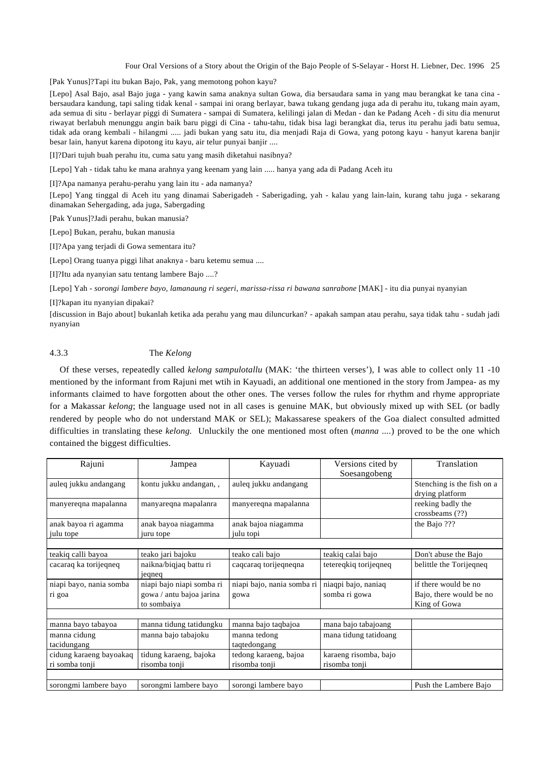[Pak Yunus]?Tapi itu bukan Bajo, Pak, yang memotong pohon kayu?

[Lepo] Asal Bajo, asal Bajo juga - yang kawin sama anaknya sultan Gowa, dia bersaudara sama in yang mau berangkat ke tana cina bersaudara kandung, tapi saling tidak kenal - sampai ini orang berlayar, bawa tukang gendang juga ada di perahu itu, tukang main ayam, ada semua di situ - berlayar piggi di Sumatera - sampai di Sumatera, kelilingi jalan di Medan - dan ke Padang Aceh - di situ dia menurut riwayat berlabuh menunggu angin baik baru piggi di Cina - tahu-tahu, tidak bisa lagi berangkat dia, terus itu perahu jadi batu semua, tidak ada orang kembali - hilangmi ..... jadi bukan yang satu itu, dia menjadi Raja di Gowa, yang potong kayu - hanyut karena banjir besar lain, hanyut karena dipotong itu kayu, air telur punyai banjir ....

[I]?Dari tujuh buah perahu itu, cuma satu yang masih diketahui nasibnya?

[Lepo] Yah - tidak tahu ke mana arahnya yang keenam yang lain ..... hanya yang ada di Padang Aceh itu

[I]?Apa namanya perahu-perahu yang lain itu - ada namanya?

[Lepo] Yang tinggal di Aceh itu yang dinamai Saberigadeh - Saberigading, yah - kalau yang lain-lain, kurang tahu juga - sekarang dinamakan Sehergading, ada juga, Sabergading

[Pak Yunus]?Jadi perahu, bukan manusia?

[Lepo] Bukan, perahu, bukan manusia

[I]?Apa yang terjadi di Gowa sementara itu?

[Lepo] Orang tuanya piggi lihat anaknya - baru ketemu semua ....

[I]?Itu ada nyanyian satu tentang lambere Bajo ....?

[Lepo] Yah - *sorongi lambere bayo, lamanaung ri segeri, marissa-rissa ri bawana sanrabone* [MAK] - itu dia punyai nyanyian

#### [I]?kapan itu nyanyian dipakai?

[discussion in Bajo about] bukanlah ketika ada perahu yang mau diluncurkan? - apakah sampan atau perahu, saya tidak tahu - sudah jadi nyanyian

# 4.3.3 The *Kelong*

Of these verses, repeatedly called *kelong sampulotallu* (MAK: 'the thirteen verses'), I was able to collect only 11 -10 mentioned by the informant from Rajuni met wtih in Kayuadi, an additional one mentioned in the story from Jampea- as my informants claimed to have forgotten about the other ones. The verses follow the rules for rhythm and rhyme appropriate for a Makassar *kelong*; the language used not in all cases is genuine MAK, but obviously mixed up with SEL (or badly rendered by people who do not understand MAK or SEL); Makassarese speakers of the Goa dialect consulted admitted difficulties in translating these *kelong.* Unluckily the one mentioned most often (*manna ....*) proved to be the one which contained the biggest difficulties.

| Rajuni                  | Jampea                    | Kayuadi                    | Versions cited by     | Translation                |  |
|-------------------------|---------------------------|----------------------------|-----------------------|----------------------------|--|
|                         |                           |                            | Soesangobeng          |                            |  |
| auleg jukku andangang   | kontu jukku andangan,,    | auleg jukku andangang      |                       | Stenching is the fish on a |  |
|                         |                           |                            |                       | drying platform            |  |
| manyereqna mapalanna    | manyaregna mapalanra      | manyeregna mapalanna       |                       | reeking badly the          |  |
|                         |                           |                            |                       | crossbeams (??)            |  |
| anak bayoa ri agamma    | anak bayoa niagamma       | anak bajoa niagamma        |                       | the Bajo ???               |  |
| julu tope               | juru tope                 | julu topi                  |                       |                            |  |
|                         |                           |                            |                       |                            |  |
| teakiq calli bayoa      | teako jari bajoku         | teako cali bajo            | teakiq calai bajo     | Don't abuse the Bajo       |  |
| cacaraq ka torijegneg   | naikna/biqjaq battu ri    | cagcarag torijegnegna      | teteregkig torijegneg | belittle the Torijegneg    |  |
|                         | jegneg                    |                            |                       |                            |  |
| niapi bayo, nania somba | niapi bajo niapi somba ri | niapi bajo, nania somba ri | niaqpi bajo, naniaq   | if there would be no       |  |
| ri goa                  | gowa / antu bajoa jarina  | gowa                       | somba ri gowa         | Bajo, there would be no    |  |
|                         | to sombaiya               |                            |                       | King of Gowa               |  |
|                         |                           |                            |                       |                            |  |
| manna bayo tabayoa      | manna tidung tatidungku   | manna bajo taqbajoa        | mana bajo tabajoang   |                            |  |
| manna cidung            | manna bajo tabajoku       | manna tedong               | mana tidung tatidoang |                            |  |
| tacidungang             |                           | taqtedongang               |                       |                            |  |
| cidung karaeng bayoakaq | tidung karaeng, bajoka    | tedong karaeng, bajoa      | karaeng risomba, bajo |                            |  |
| ri somba tonji          | risomba tonji             | risomba tonji              | risomba tonji         |                            |  |
|                         |                           |                            |                       |                            |  |
| sorongmi lambere bayo   | sorongmi lambere bayo     | sorongi lambere bayo       |                       | Push the Lambere Bajo      |  |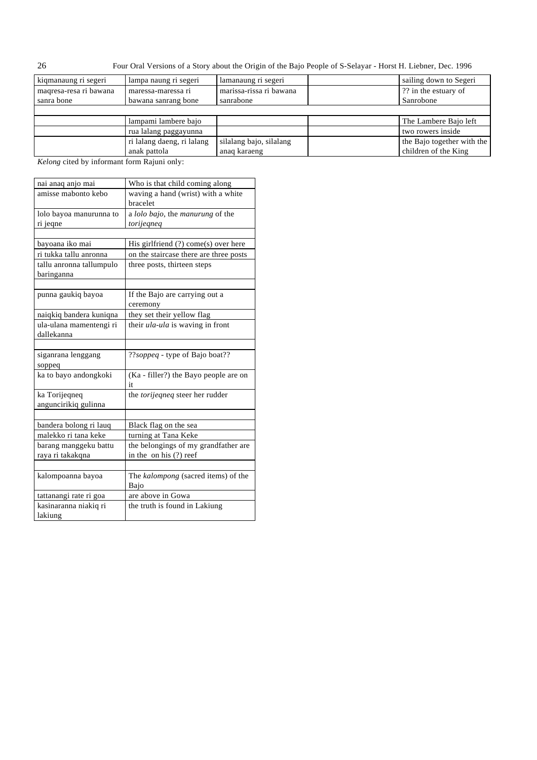| kiqmanaung ri segeri   | lampa naung ri segeri      | lamanaung ri segeri     | sailing down to Segeri     |
|------------------------|----------------------------|-------------------------|----------------------------|
| magresa-resa ri bawana | maressa-maressa ri         | marissa-rissa ri bawana | ?? in the estuary of       |
| sanra bone             | bawana sanrang bone        | sanrabone               | Sanrobone                  |
|                        |                            |                         |                            |
|                        | lampami lambere bajo       |                         | The Lambere Bajo left      |
|                        | rua lalang paggayunna      |                         | two rowers inside          |
|                        | ri lalang daeng, ri lalang | silalang bajo, silalang | the Bajo together with the |
|                        | anak pattola               | anaq karaeng            | children of the King       |
|                        |                            |                         |                            |

*Kelong* cited by informant form Rajuni only:

| nai anaq anjo mai        | Who is that child coming along         |
|--------------------------|----------------------------------------|
| amisse mabonto kebo      | waving a hand (wrist) with a white     |
|                          | bracelet                               |
| lolo bayoa manurunna to  | a lolo bajo, the manurung of the       |
| ri jeqne                 | torijegneg                             |
|                          |                                        |
| bayoana iko mai          | His girlfriend (?) come(s) over here   |
| ri tukka tallu anronna   | on the staircase there are three posts |
| tallu anronna tallumpulo | three posts, thirteen steps            |
| baringanna               |                                        |
|                          |                                        |
| punna gaukiq bayoa       | If the Bajo are carrying out a         |
|                          | ceremony                               |
| naiqkiq bandera kuniqna  | they set their yellow flag             |
| ula-ulana mamentengi ri  | their ula-ula is waving in front       |
| dallekanna               |                                        |
|                          |                                        |
| siganrana lenggang       | ??soppeq - type of Bajo boat??         |
| soppeq                   |                                        |
| ka to bayo andongkoki    | (Ka - filler?) the Bayo people are on  |
|                          | it                                     |
| ka Torijeqneq            | the torijeqneq steer her rudder        |
| anguncirikiq gulinna     |                                        |
|                          |                                        |
| bandera bolong ri lauq   | Black flag on the sea                  |
| malekko ri tana keke     | turning at Tana Keke                   |
| barang manggeku battu    | the belongings of my grandfather are   |
| raya ri takakqna         | in the on his (?) reef                 |
|                          |                                        |
| kalompoanna bayoa        | The kalompong (sacred items) of the    |
|                          | Bajo                                   |
| tattanangi rate ri goa   | are above in Gowa                      |
| kasinaranna niakiq ri    | the truth is found in Lakiung          |
| lakiung                  |                                        |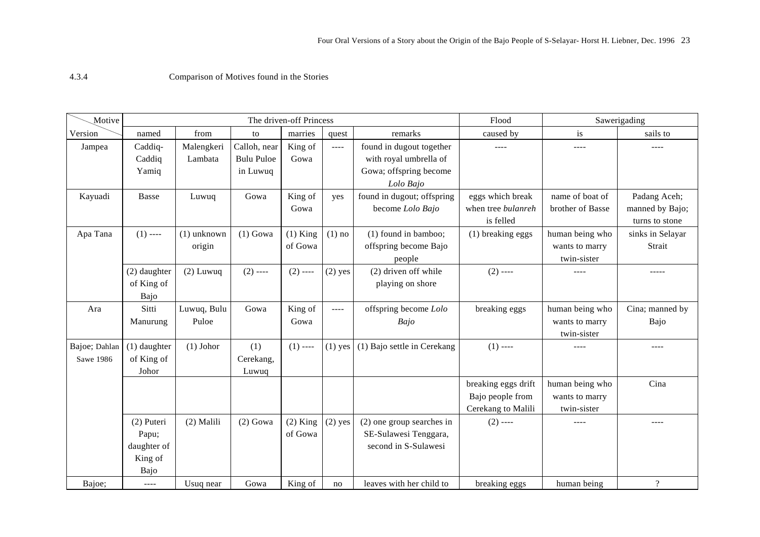Comparison of Motives found in the Stories

| Motive                     | The driven-off Princess                               |                         |                                               |                       | Flood     | Sawerigading                                                                              |                                                               |                                                  |                                                   |
|----------------------------|-------------------------------------------------------|-------------------------|-----------------------------------------------|-----------------------|-----------|-------------------------------------------------------------------------------------------|---------------------------------------------------------------|--------------------------------------------------|---------------------------------------------------|
| Version                    | named                                                 | from                    | to                                            | marries               | quest     | remarks                                                                                   | caused by                                                     | is                                               | sails to                                          |
| Jampea                     | Caddiq-<br>Caddiq<br>Yamiq                            | Malengkeri<br>Lambata   | Calloh, near<br><b>Bulu Puloe</b><br>in Luwuq | King of<br>Gowa       | $\cdots$  | found in dugout together<br>with royal umbrella of<br>Gowa; offspring become<br>Lolo Bajo | ----                                                          | ----                                             | ----                                              |
| Kayuadi                    | Basse                                                 | Luwuq                   | Gowa                                          | King of<br>Gowa       | yes       | found in dugout; offspring<br>become Lolo Bajo                                            | eggs which break<br>when tree bulanreh<br>is felled           | name of boat of<br>brother of Basse              | Padang Aceh;<br>manned by Bajo;<br>turns to stone |
| Apa Tana                   | $(1)$ ----                                            | $(1)$ unknown<br>origin | $(1)$ Gowa                                    | $(1)$ King<br>of Gowa | $(1)$ no  | $(1)$ found in bamboo;<br>offspring become Bajo<br>people                                 | (1) breaking eggs                                             | human being who<br>wants to marry<br>twin-sister | sinks in Selayar<br>Strait                        |
|                            | (2) daughter<br>of King of<br>Bajo                    | $(2)$ Luwuq             | $(2)$ ----                                    | $(2)$ ----            | $(2)$ yes | (2) driven off while<br>playing on shore                                                  | $(2)$ ----                                                    |                                                  | -----                                             |
| Ara                        | Sitti<br>Manurung                                     | Luwuq, Bulu<br>Puloe    | Gowa                                          | King of<br>Gowa       | $---$     | offspring become Lolo<br>Bajo                                                             | breaking eggs                                                 | human being who<br>wants to marry<br>twin-sister | Cina; manned by<br>Bajo                           |
| Bajoe; Dahlan<br>Sawe 1986 | (1) daughter<br>of King of<br>Johor                   | $(1)$ Johor             | (1)<br>Cerekang,<br>Luwuq                     | $(1)$ ----            | $(1)$ yes | (1) Bajo settle in Cerekang                                                               | $(1)$ ----                                                    |                                                  | ----                                              |
|                            |                                                       |                         |                                               |                       |           |                                                                                           | breaking eggs drift<br>Bajo people from<br>Cerekang to Malili | human being who<br>wants to marry<br>twin-sister | Cina                                              |
|                            | (2) Puteri<br>Papu;<br>daughter of<br>King of<br>Bajo | (2) Malili              | $(2)$ Gowa                                    | $(2)$ King<br>of Gowa | $(2)$ yes | $(2)$ one group searches in<br>SE-Sulawesi Tenggara,<br>second in S-Sulawesi              | $(2)$ ----                                                    |                                                  |                                                   |
| Bajoe;                     | $---$                                                 | Usuq near               | Gowa                                          | King of               | no        | leaves with her child to                                                                  | breaking eggs                                                 | human being                                      | $\overline{?}$                                    |

4.3.4